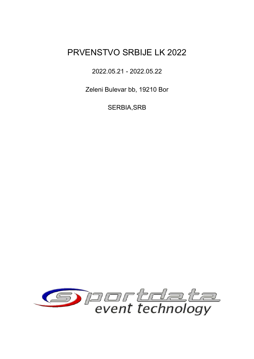### 2022.05.21 - 2022.05.22

Zeleni Bulevar bb, 19210 Bor

SERBIA,SRB

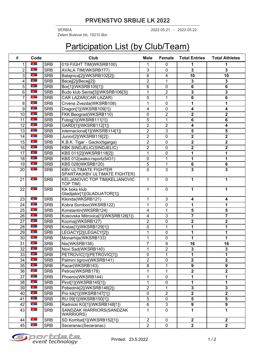2022.05.21 2022.05.22 SERBIA - Zeleni Bulevar bb, 19210 Bor

# Participation List (by Club/Team)

| $\#$             | Code                     |            | Club                                                         | <b>Male</b>    | Female           | <b>Total Entries</b>    | <b>Total Athletes</b>   |
|------------------|--------------------------|------------|--------------------------------------------------------------|----------------|------------------|-------------------------|-------------------------|
| 1                | <b>Bigger</b>            | <b>SRB</b> | 019 FIGHT TIM(WKSRB100)                                      | 1              | 0                | 1                       | 1                       |
| $\overline{2}$   | $ \frac{a}{2}$           | <b>SRB</b> | <b>AVALA TIM(WKSRB177)</b>                                   | 3              | $\mathbf 0$      | 3                       | 3                       |
| 3                | <u>n ämn</u>             | <b>SRB</b> | Batajnica[2](WKSRB102[2])                                    | 6              | 4                | $\overline{10}$         | 10                      |
| 4                | <b>Digitary</b>          | <b>SRB</b> | Becej[2](Becej[2])                                           | 2              | 1                | 3                       | 3                       |
| 5                | <b>Bigger</b>            | <b>SRB</b> | Bor[1](WKSRB105[1])                                          | 6              | $\mathbf 0$      | 6                       | 6                       |
| 6                | <b>Eğen</b>              | <b>SRB</b> | Budo klub Senta[3](WKSRB106[3])                              | 1              | $\mathbf 2$      | 3                       | 3                       |
| 7                | <b>A</b>                 | <b>SRB</b> | CAR LAZAR(CAR LAZAR)                                         | 5              | 1                | 6                       | 6                       |
| $\bf 8$          | <b>Expertise Section</b> | <b>SRB</b> | Crvena Zvezda(WKSRB108)                                      | 1              | $\mathbf 0$      | 1                       | 1                       |
| $\boldsymbol{9}$ | <u>n ämn</u>             | <b>SRB</b> | Dragon[1](WKSRB109[1])                                       | 4              | $\mathbf 0$      | 4                       | 4                       |
| 10               | <b>Digitary</b>          | <b>SRB</b> | FKK Beograd(WKSRB110)                                        | 0              | $\overline{2}$   | $\overline{\mathbf{2}}$ | $\mathbf 2$             |
| 11               | $ \frac{a}{2}$           | <b>SRB</b> | Futog[1](WKSRB111[1])                                        | 5              | 1                | 6                       | 6                       |
| 12               | <b>Eğen</b>              | <b>SRB</b> | GARD[1](WKSRB112[1])                                         | $\overline{2}$ | $\boldsymbol{2}$ | 4                       | 4                       |
| 13               | <b>Digitary</b>          | <b>SRB</b> | Internacional[1](WKSRB114[1])                                | $\overline{2}$ | $\overline{3}$   | 5                       | 5                       |
| 14               | <b>Bigger</b>            | <b>SRB</b> | Junior[2](WKSRB116[2])                                       | $\overline{2}$ | 0                | 2                       | $\mathbf 2$             |
| 15               | <b>Eğen</b>              | <b>SRB</b> | K.B.K. Tigar - Gacko(tigarga)                                | $\overline{2}$ | $\mathbf 0$      | $\overline{\mathbf{2}}$ | $\overline{\mathbf{2}}$ |
| 16               | <b>Digitary</b>          | <b>SRB</b> | <b>KBK SINDJELIC(SINDJELIC)</b>                              | $\overline{2}$ | $\mathbf 0$      | $\overline{\mathbf{2}}$ | $\overline{\mathbf{2}}$ |
| 17               | $ \frac{a}{2}$           | <b>SRB</b> | KBS 011[2](WKSRB118[2])                                      | 1              | $\mathbf 0$      | 1                       | 1                       |
| 18               | <b>Eğen</b>              | <b>SRB</b> | KBS 012(wako-rsportz5431)                                    | $\pmb{0}$      | 1                | 1                       | 1                       |
| 19               | <b>Bigger</b>            | <b>SRB</b> | <b>KBS 028(WKSRB120)</b>                                     | 5              | 1                | 6                       | 6                       |
| 20               | $-6$                     | <b>SRB</b> | <b>KBV ULTIMATE FIGHTER</b><br>SPARTAK(KBV ULTIMATE FIGHTER) | $\mathbf 0$    | 3                | 3                       | 3                       |
| 21               | <b>B</b>                 | <b>SRB</b> | KELJANOVIC TOP TIM(KELJANOVIC<br>TOP TIM)                    | 1              | $\mathbf 0$      | 1                       | 1                       |
| 22               | <u>n gennem</u>          | <b>SRB</b> | Kik boks klub<br>Gladijator[1](GLADIJATOR[1])                | 1              | $\mathbf 0$      | 1                       | 1                       |
| 23               | <b>External</b>          | <b>SRB</b> | Kikinda(WKSRB121)                                            | 1              | 3                | 4                       | 4                       |
| 24               | <u>ng m</u>              | <b>SRB</b> | Kobra Sombor(WKSRB122)                                       | 1              | $\pmb{0}$        | 1                       | 1                       |
| $\overline{25}$  | <b>Bigger</b>            | <b>SRB</b> | Konstantin(WKSRB124)                                         | 4              | 1                | 5                       | 5                       |
| 26               | <b>External</b>          | <b>SRB</b> | Kosovska Mitrovica[1](WKSRB126[1])                           | 4              | 3                | 7                       | 7                       |
| 27               | <u>ng m</u>              | <b>SRB</b> | Kozmaj(WKSRB127)                                             | $\overline{2}$ | $\mathbf 0$      | $\overline{\mathbf{2}}$ | $\mathbf 2$             |
| 28               | <b>Digitary</b>          | <b>SRB</b> | Krstas[1](WKSRB129[1])                                       | 0              | 1                | 1                       | 1                       |
| 29               | <b>External</b>          | <b>SRB</b> | LEGACY[2](LEGACY[2])                                         | 1              | $\pmb{0}$        | 1                       | 1                       |
| 30               | <b>B</b>                 | <b>SRB</b> | Monarhija(WKSRB133)                                          | 1              | $\pmb{0}$        | 1                       | 1                       |
| $\overline{31}$  | <u>nã – I</u>            | <b>SRB</b> | Nis(WKSRB136)                                                | 7              | 9                | 16                      | 16                      |
| 32               | <b>B</b>                 | <b>SRB</b> | Novi Sad(WKSRB140)                                           | 1              | $\overline{2}$   | 3                       | 3                       |
| 33               | <b>B</b>                 | <b>SRB</b> | PETROVIC[1](PETROVIC[1])                                     | 0              | 1                | 1                       | 1                       |
| 34               | <b>Figure</b>            | <b>SRB</b> | Palmini tigrovi(WKSRB141)                                    | $\overline{2}$ | 0                | 2                       | $\overline{\mathbf{2}}$ |
| 35               | <b>External</b>          | <b>SRB</b> | Pazar(WKSRB143)                                              | 8              | 1                | 9                       | 9                       |
| 36               | <u>ng m</u>              | <b>SRB</b> | Petros(WKSRB178)                                             | 1              | 1                | 2                       | $\mathbf 2$             |
| 37               | <b>B</b>                 | <b>SRB</b> | Phoenix(WKSRB144)                                            | 1              | $\pmb{0}$        | 1                       | 1                       |
| 38               | <b>B</b>                 | <b>SRB</b> | Pirot[1](WKSRB145[1])                                        | 1              | $\pmb{0}$        | 1                       | 1                       |
| 39               | <b>B</b>                 | <b>SRB</b> | Pobednik[2](WKSRB146[2])                                     | $\overline{2}$ | 1                | 3                       | 3                       |
| 40               | <b>Figure</b>            | <b>SRB</b> | Pro kik[1](WKSRB147[1])                                      | $\pmb{0}$      | $\overline{c}$   | $\overline{\mathbf{2}}$ | $\overline{2}$          |
| 41               | <b>Bigger</b>            | <b>SRB</b> | RU 09[1](WKSRB150[1])                                        | $\overline{5}$ | $\pmb{0}$        | 5                       | 5                       |
| 42               | <u>n gennem</u>          | <b>SRB</b> | Radnicki KG[1](WKSRB148[1])                                  | $\,6\,$        | $\mathbf{3}$     | 9                       | 9                       |
| 43               | 第一                       | <b>SRB</b> | SANDZAK WARRIORS(SANDZAK<br>WARRIORS)                        | 1              | $\mathbf 0$      | 1                       | 1                       |
| 44               | <b>Bigger</b>            | <b>SRB</b> | SD Kombat[1](WKSRB152[1])                                    | $\overline{2}$ | $\pmb{0}$        | $\mathbf 2$             | $\mathbf{2}$            |
| 45               | <b>B</b>                 | <b>SRB</b> | Seceranac(Seceranac)                                         | $\overline{2}$ | $\mathbf 0$      | $\mathbf 2$             | $\overline{2}$          |

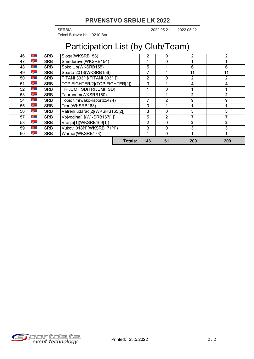2022.05.21 2022.05.22 SERBIA - Zeleni Bulevar bb, 19210 Bor

# Participation List (by Club/Team)

| 46 | $-\frac{3}{2}$ | <b>SRB</b> | Sloga(WKSRB153)                |                | 2              | 0              | 2            |     |
|----|----------------|------------|--------------------------------|----------------|----------------|----------------|--------------|-----|
| 47 | <b>PA</b>      | <b>SRB</b> | Smederevo(WKSRB154)            |                |                | 0              |              |     |
| 48 | <b>B</b>       | <b>SRB</b> | Soko Ub(WKSRB155)              |                |                |                | 6            | 6   |
| 49 | $-\frac{3}{2}$ | <b>SRB</b> | Sparta 2013(WKSRB156)          | 7              | 4              | 11             | 11           |     |
| 50 | <b>B</b>       | <b>SRB</b> | TITANI 333[1](TITANI 333[1])   |                | $\overline{2}$ | 0              | $\mathbf{2}$ |     |
| 51 | <b>B</b>       | <b>SRB</b> | TOP FIGHTER[2](TOP FIGHTER[2]) |                | 3              |                | 4            |     |
| 52 | $-\frac{3}{2}$ | <b>SRB</b> | TRIJUMF SD(TRIJUMF SD)         |                | 1              | $\Omega$       |              |     |
| 53 | <b>PA</b>      | <b>SRB</b> | Taurunum(WKSRB160)             |                |                |                | $\mathbf{2}$ |     |
| 54 | $ \frac{3}{2}$ | <b>SRB</b> | Topic tim(wako-rsportz5474)    |                | 7              | $\overline{2}$ | 9            | 9   |
| 55 | $\frac{3}{2}$  | <b>SRB</b> | Tron(WKSRB163)                 |                | 0              |                |              |     |
| 56 | <b>B</b>       | <b>SRB</b> | Vatreni udarac[2](WKSRB165[2]) |                | 3              | $\Omega$       | 3            |     |
| 57 | $ \frac{3}{2}$ | <b>SRB</b> | Vojvodina[1](WKSRB167[1])      |                | 5              | 2              |              |     |
| 58 | $-\frac{3}{2}$ | <b>SRB</b> | Vranje[1](WKSRB169[1])         |                | 2              | $\Omega$       | $\mathbf{2}$ |     |
| 59 | <b>B</b>       | <b>SRB</b> | Vukovi 018[1](WKSRB171[1])     |                | 3              | 0              | 3            |     |
| 60 | <b>A</b>       | <b>SRB</b> | Warrior(WKSRB173)              |                |                | $\Omega$       |              |     |
|    |                |            |                                | <b>Totals:</b> | 148            | 61             | 209          | 209 |

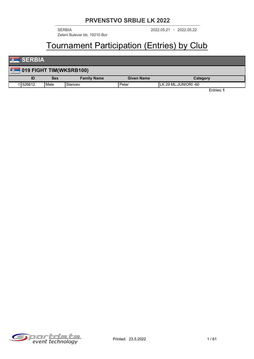Zeleni Bulevar bb, 19210 Bor

2022.05.21 2022.05.22 SERBIA -

### Tournament Participation (Entries) by Club

### **SERBIA**

| <b>Contract Contract Contract</b> |                         |            |                    |                   |                       |  |  |
|-----------------------------------|-------------------------|------------|--------------------|-------------------|-----------------------|--|--|
| <b>For</b>                        | 019 FIGHT TIM(WKSRB100) |            |                    |                   |                       |  |  |
|                                   | ID                      | <b>Sex</b> | <b>Family Name</b> | <b>Given Name</b> | Category              |  |  |
|                                   | 1526612                 | l Male     | Stancev            | Petar             | ILK 29 ML.JUNIORI -60 |  |  |
|                                   |                         |            |                    |                   | Entries: 1            |  |  |

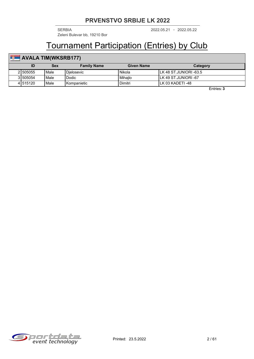2022.05.21 2022.05.22 SERBIA - Zeleni Bulevar bb, 19210 Bor

### Tournament Participation (Entries) by Club

### **AVALA TIM(WKSRB177)**

|          | Sex  | <b>Family Name</b> | Given Name    | Category                |
|----------|------|--------------------|---------------|-------------------------|
| 21505055 | Male | Dielosevic         | <b>Nikola</b> | ILK 48 ST.JUNIORI -63.5 |
| 31505054 | Male | Dodic              | Mihailo       | ILK 49 ST.JUNIORI -67   |
| 41515120 | Male | <b>Kompanietic</b> | Dimitri       | ILK 03 KADETI -48       |

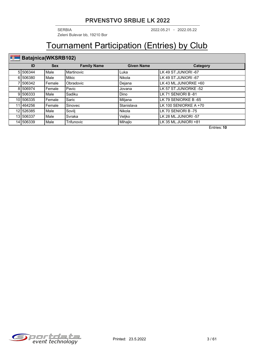2022.05.21 2022.05.22 SERBIA - Zeleni Bulevar bb, 19210 Bor

## Tournament Participation (Entries) by Club

#### **Batajnica(WKSRB102)**

| ID         | <b>Sex</b> | <b>Family Name</b> | <b>Given Name</b> | Category              |
|------------|------------|--------------------|-------------------|-----------------------|
| 5 506344   | Male       | Martinovic         | Luka              | LK 49 ST.JUNIORI -67  |
| 6 506380   | Male       | <b>Mikic</b>       | Nikola            | LK 49 ST.JUNIORI -67  |
| 1506342    | Female     | Obradovic          | Dejana            | LK 43 ML.JUNIORKE +60 |
| 8 506974   | Female     | Pavic              | Jovana            | LK 57 ST.JUNIORKE -52 |
| 9 506333   | Male       | Sadiku             | Dino              | LK 71 SENIORI B-81    |
| 10 506335  | Female     | Saric              | Miljana           | LK 79 SENIORKE B -65  |
| 11 464 256 | Female     | Sinovec            | Stanislava        | LK 100 SENIORKE A +70 |
| 12 526385  | Male       | Sovilj             | l Nikola          | LK 70 SENIORI B-75    |
| 13 506337  | Male       | Svraka             | Veljko            | LK 28 ML.JUNIORI -57  |
| 14 506339  | Male       | Trifunovic         | Mihajlo           | LK 35 ML.JUNIORI +81  |

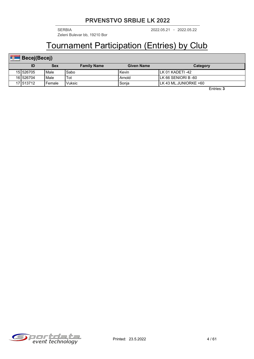2022.05.21 2022.05.22 SERBIA - Zeleni Bulevar bb, 19210 Bor

## Tournament Participation (Entries) by Club

| E)<br>Becej(Becej) |           |          |                    |                   |                        |  |  |
|--------------------|-----------|----------|--------------------|-------------------|------------------------|--|--|
|                    |           | Sex      | <b>Family Name</b> | <b>Given Name</b> | Category               |  |  |
|                    | 15 526705 | l Male   | Sabo               | Kevin             | ILK 01 KADETI -42      |  |  |
|                    | 16 526704 | Male     | Tot                | Arnold            | ILK 66 SENIORI B -60   |  |  |
|                    | 171513712 | l Female | <b>Vuksic</b>      | Sonia             | ILK 43 ML.JUNIORKE +60 |  |  |

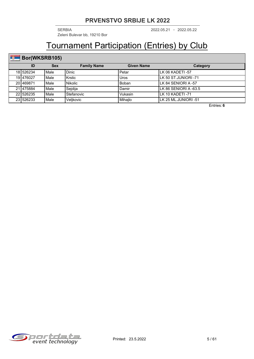2022.05.21 2022.05.22 SERBIA - Zeleni Bulevar bb, 19210 Bor

## Tournament Participation (Entries) by Club

### **Bor(WKSRB105)**

| ID        | <b>Sex</b> | <b>Family Name</b> | <b>Given Name</b> | Category               |
|-----------|------------|--------------------|-------------------|------------------------|
| 181526234 | l Male     | <b>Dinic</b>       | Petar             | ILK 06 KADETI -57      |
| 19 476027 | l Male     | Krstic             | Uros              | LLK 50 ST.JUNIORI -71  |
| 201469871 | l Male     | Nikolic            | Boban             | LLK 84 SENIORI A -57   |
| 21 475884 | l Male     | Sejdija            | Damir             | LLK 86 SENIORI A -63.5 |
| 22 526235 | l Male     | Stefanovic         | Vukasin           | ILK 10 KADETI -71      |
| 231526233 | Male       | Veljkovic          | Mihajlo           | llk 25 ML.JUNIORI -51  |

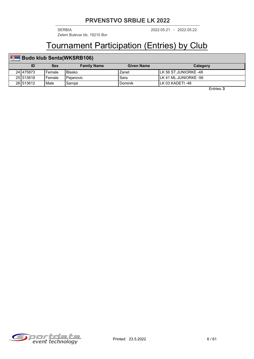2022.05.21 2022.05.22 SERBIA - Zeleni Bulevar bb, 19210 Bor

### Tournament Participation (Entries) by Club

| <b>Budo klub Senta(WKSRB106)</b> |            |                    |                   |                        |  |  |  |
|----------------------------------|------------|--------------------|-------------------|------------------------|--|--|--|
| ID                               | <b>Sex</b> | <b>Family Name</b> | <b>Given Name</b> | Category               |  |  |  |
| 241475873                        | Female     | Blasko             | Zanet             | ILK 56 ST.JUNIORKE -48 |  |  |  |
| 251513618                        | Female     | l Peianovic        | Sara              | ILK 41 ML.JUNIORKE -56 |  |  |  |
| 26 513 612                       | Male       | Sarnjai            | Dominik           | ILK 03 KADETI -48      |  |  |  |

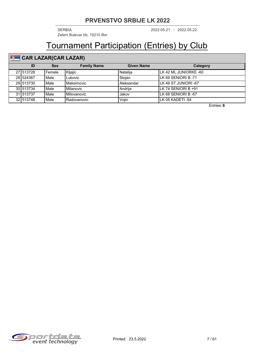2022.05.21 2022.05.22 SERBIA - Zeleni Bulevar bb, 19210 Bor

### Tournament Participation (Entries) by Club

#### **CAR LAZAR(CAR LAZAR)**

| ID        | <b>Sex</b> | <b>Family Name</b> | <b>Given Name</b> | Category               |
|-----------|------------|--------------------|-------------------|------------------------|
| 271513728 | Female     | Kljajic            | Natalija          | ILK 42 ML.JUNIORKE -60 |
| 28 524367 | Male       | _ukovic            | Stoian            | ILK 69 SENIORI B-71    |
| 29 513730 | Male       | Maksimovic         | <b>Aleksandar</b> | LK 49 ST.JUNIORI -67   |
| 30 513734 | Male       | Milanovic          | Andriia           | LLK 74 SENIORI B +91   |
| 31 513737 | Male       | Milovanovic        | Jakov             | LK 68 SENIORI B -67    |
| 32 513748 | Male       | Radovanovic        | Vojin             | ILK 05 KADETI -54      |

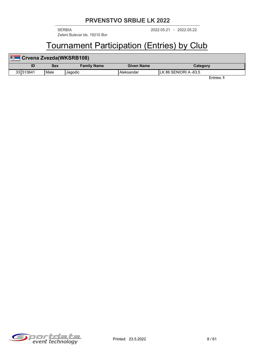2022.05.21 2022.05.22 SERBIA - Zeleni Bulevar bb, 19210 Bor

### Tournament Participation (Entries) by Club

| <b>Barriot</b> | Crvena Zvezda (WKSRB108) |                    |            |                        |  |  |  |
|----------------|--------------------------|--------------------|------------|------------------------|--|--|--|
|                | Sex                      | <b>Family Name</b> | Given Name | Category               |  |  |  |
| 331513641      | Male                     | Jagodic            | Aleksandar | ILK 86 SENIORI A -63.5 |  |  |  |

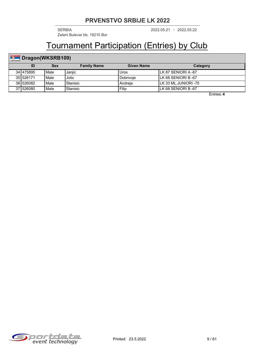2022.05.21 2022.05.22 SERBIA - Zeleni Bulevar bb, 19210 Bor

## Tournament Participation (Entries) by Club

### **Dragon(WKSRB109)**

|           | Sex  | <b>Family Name</b>    | <b>Given Name</b> | Category                    |
|-----------|------|-----------------------|-------------------|-----------------------------|
| 341475895 | Male | Janjic                | Uros              | <b>ILK 87 SENIORI A -67</b> |
| 351526171 | Male | Jotic                 | l Dobrivoie       | ILK 68 SENIORI B-67         |
| 361526082 | Male | <sup>I</sup> Stanisic | ∣Andreia          | ILK 33 ML.JUNIORI -75       |
| 371526080 | Male | l Stanisic            | Filip             | ILK 68 SENIORI B-67         |

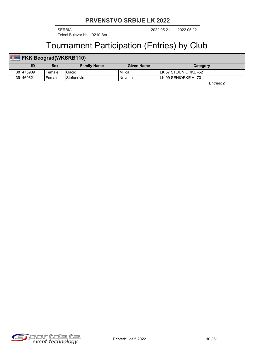2022.05.21 2022.05.22 SERBIA - Zeleni Bulevar bb, 19210 Bor

### Tournament Participation (Entries) by Club

| <b>FKK Beograd (WKSRB110)</b> |            |                    |                   |                        |  |  |
|-------------------------------|------------|--------------------|-------------------|------------------------|--|--|
| ID                            | <b>Sex</b> | <b>Family Name</b> | <b>Given Name</b> | Category               |  |  |
| 38 475909                     | Female     | Gacic              | Milica            | ILK 57 ST.JUNIORKE -52 |  |  |
| 391469621                     | Female     | l Stefanovic       | l Nevena          | ILK 99 SENIORKE A -70  |  |  |

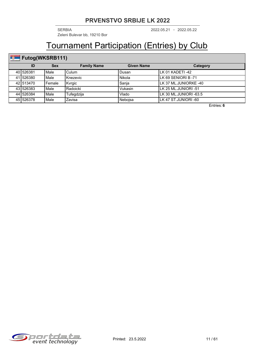2022.05.21 2022.05.22 SERBIA - Zeleni Bulevar bb, 19210 Bor

## Tournament Participation (Entries) by Club

### Futog(WKSRB111)

| ID        | <b>Sex</b>    | <b>Family Name</b> | <b>Given Name</b> | Category                |
|-----------|---------------|--------------------|-------------------|-------------------------|
| 401526381 | l Male        | Culum              | Dusan             | ILK 01 KADETI -42       |
| 411526380 | l Male        | <b>I</b> Knezevic  | Nikola            | LLK 69 SENIORI B -71    |
| 42 513470 | Female        | Kvrgic             | Sanja             | LLK 37 ML.JUNIORKE -40  |
| 43 526383 | l Male        | Radoicki           | Vukasin           | ILK 25 ML.JUNIORI -51   |
| 44 526384 | <b>I</b> Male | Tufegdzija         | Vlado             | ILK 30 ML.JUNIORI -63.5 |
| 45 526378 | l Male        | Zavisa             | Nebojsa           | ILK 47 ST.JUNIORI -60   |

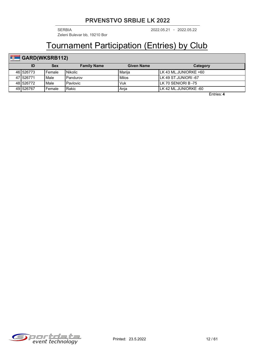2022.05.21 2022.05.22 SERBIA - Zeleni Bulevar bb, 19210 Bor

## Tournament Participation (Entries) by Club

### **GARD(WKSRB112)**

| ID        | Sex    | <b>Family Name</b> | <b>Given Name</b> | Category               |
|-----------|--------|--------------------|-------------------|------------------------|
| 461526773 | Female | l Nikolic          | l Mariia          | ILK 43 ML.JUNIORKE +60 |
| 47 526771 | Male   | Pandurov           | l Milos           | ILK 49 ST.JUNIORI -67  |
| 48 526772 | Male   | Pavlovic           | Vuk               | ILK 70 SENIORI B -75   |
| 49 526767 | Female | Rakic              | Anja              | ILK 42 ML.JUNIORKE -60 |

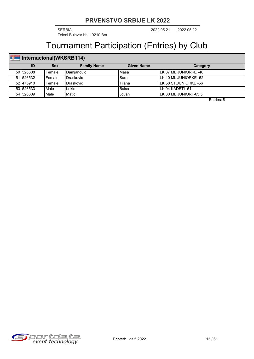2022.05.21 2022.05.22 SERBIA - Zeleni Bulevar bb, 19210 Bor

## Tournament Participation (Entries) by Club

### **Internacional(WKSRB114)**

|           | <b>Sex</b> | <b>Family Name</b> | Given Name | Category                |
|-----------|------------|--------------------|------------|-------------------------|
| 501526608 | l Female   | Damianovic         | l Masa     | ILK 37 ML.JUNIORKE -40  |
| 511526532 | l Female   | Draskovic          | Sara       | ILK 40 ML.JUNIORKE -52  |
| 521475910 | l Female   | Draskovic          | Tiiana     | ILK 58 ST.JUNIORKE -56  |
| 531526533 | Male       | ∟ekic              | Balsa      | ILK 04 KADETI-51        |
| 541526609 | Male       | Matic              | Jovan      | ILK 30 ML.JUNIORI -63.5 |

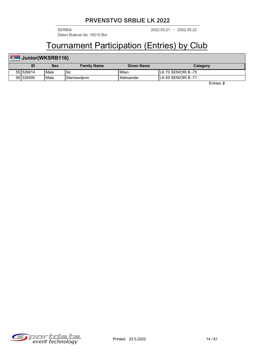2022.05.21 2022.05.22 SERBIA - Zeleni Bulevar bb, 19210 Bor

### Tournament Participation (Entries) by Club

#### **ID Sex Family Name Given Name Category Junior(WKSRB116)** 55 526614 | Male | Ilic | Nillan | Milan | LK 70 SENIORI B -75 56 526590 Male Stanisavljevic Aleksandar LK 69 SENIORI B -71

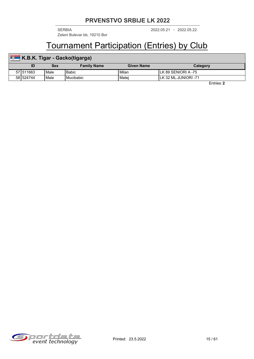2022.05.21 2022.05.22 SERBIA - Zeleni Bulevar bb, 19210 Bor

### Tournament Participation (Entries) by Club

| <b>PA 10</b> | <b>K.B.K. Tigar - Gacko(tigarga)</b> |            |                    |                   |                       |  |  |  |  |  |
|--------------|--------------------------------------|------------|--------------------|-------------------|-----------------------|--|--|--|--|--|
|              |                                      | <b>Sex</b> | <b>Family Name</b> | <b>Given Name</b> | Category              |  |  |  |  |  |
|              | 571511663                            | Male       | <b>Babic</b>       | Milan             | ILK 89 SENIORI A -75  |  |  |  |  |  |
|              | 58 524744                            | Male       | l Mucibabic        | l Matei           | ILK 32 ML.JUNIORI -71 |  |  |  |  |  |

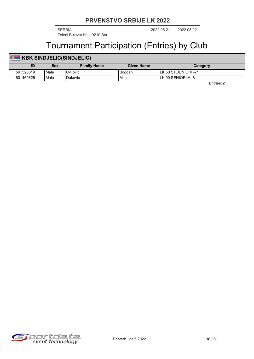2022.05.21 2022.05.22 SERBIA - Zeleni Bulevar bb, 19210 Bor

### Tournament Participation (Entries) by Club

#### **ID Sex Family Name Given Name Category KBK SINDJELIC(SINDJELIC)** 59 526519 Male Cvijovic Bogdan LK 50 ST.JUNIORI -71 60 469626 Male Dakovic Milos LK 90 SENIORI A -81

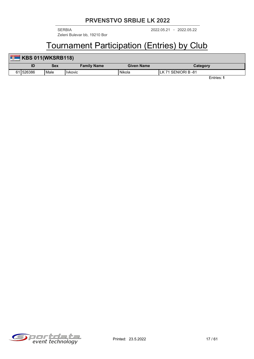2022.05.21 2022.05.22 SERBIA - Zeleni Bulevar bb, 19210 Bor

### Tournament Participation (Entries) by Club

| <b>B</b> | KBS 011(WKSRB118) |      |                    |                   |                    |  |  |  |  |
|----------|-------------------|------|--------------------|-------------------|--------------------|--|--|--|--|
|          | ID                | Sex  | <b>Family Name</b> | <b>Given Name</b> | Category           |  |  |  |  |
|          | 611526386         | Male | Hvkovic            | Nikola            | LK 71 SENIORI B-81 |  |  |  |  |

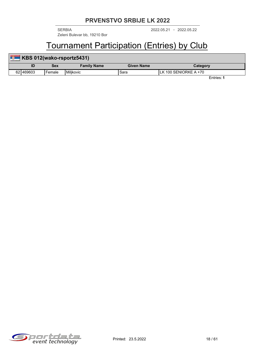Zeleni Bulevar bb, 19210 Bor

2022.05.21 2022.05.22 SERBIA -

### Tournament Participation (Entries) by Club

| <b>But</b> | KBS 012(wako-rsportz5431) |        |                    |                   |                        |  |  |  |  |
|------------|---------------------------|--------|--------------------|-------------------|------------------------|--|--|--|--|
|            |                           | Sex    | <b>Family Name</b> | <b>Given Name</b> | Category               |  |  |  |  |
|            | 621469603                 | Female | <b>I</b> Milikovic | Sara              | ILK 100 SENIORKE A +70 |  |  |  |  |

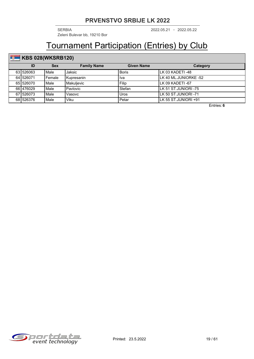2022.05.21 2022.05.22 SERBIA - Zeleni Bulevar bb, 19210 Bor

## Tournament Participation (Entries) by Club

### **KBS** 028(WKSRB120)

| ID        | <b>Sex</b> | <b>Family Name</b> | <b>Given Name</b> | Category               |
|-----------|------------|--------------------|-------------------|------------------------|
| 631526063 | Male       | Jaksic             | <b>Boris</b>      | ILK 03 KADETI -48      |
| 641526071 | Female     | l Kupresanin       | . Iva             | ILK 40 ML.JUNIORKE -52 |
| 651526070 | Male       | Makulievic         | Filip             | ILK 09 KADETI -67      |
| 661476029 | Male       | Pavlovic           | Stefan            | ILK 51 ST.JUNIORI -75  |
| 671526073 | Male       | Vasovc             | Uros              | ILK 50 ST.JUNIORI -71  |
| 681526376 | Male       | Viku               | Petar             | llk 55 ST.JUNIORI +91  |

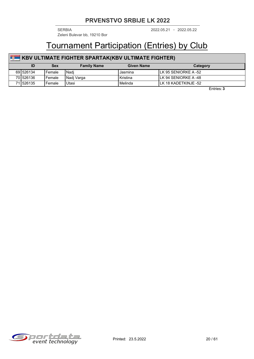Zeleni Bulevar bb, 19210 Bor

2022.05.21 2022.05.22 SERBIA -

### Tournament Participation (Entries) by Club

### **KBV ULTIMATE FIGHTER SPARTAK(KBV ULTIMATE FIGHTER)**

| ID        | <b>Sex</b> | <b>Family Name</b> | Given Name        | Category              |
|-----------|------------|--------------------|-------------------|-----------------------|
| 69 526134 | Female     | l Nadi             | Jasmına           | ILK 95 SENIORKE A -52 |
| 701526136 | Female     | Nadi Varga         | <b>I</b> Kristina | ILK 94 SENIORKE A -48 |
| 711526135 | Female     | Utasi              | Melinda           | ILK 18 KADETKINJE -52 |

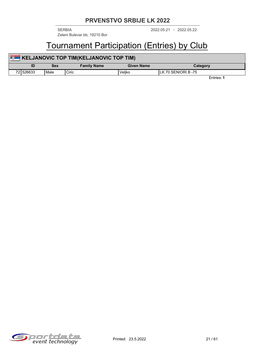Zeleni Bulevar bb, 19210 Bor

2022.05.21 2022.05.22 SERBIA -

### Tournament Participation (Entries) by Club

| KELJANOVIC TOP TIM(KELJANOVIC TOP TIM) |            |                    |                   |                      |  |  |  |  |
|----------------------------------------|------------|--------------------|-------------------|----------------------|--|--|--|--|
| ID                                     | <b>Sex</b> | <b>Family Name</b> | <b>Given Name</b> | Category             |  |  |  |  |
| 721526633                              | Male       | Ciric              | Veliko            | ILK 70 SENIORI B -75 |  |  |  |  |

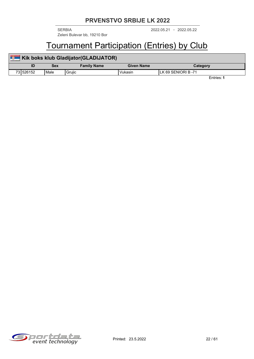Zeleni Bulevar bb, 19210 Bor

2022.05.21 2022.05.22 SERBIA -

### Tournament Participation (Entries) by Club

| <b>Bank</b> | Kik boks klub Gladijator(GLADIJATOR) |      |                    |            |                     |  |  |  |  |
|-------------|--------------------------------------|------|--------------------|------------|---------------------|--|--|--|--|
|             | ID                                   | Sex  | <b>Family Name</b> | Given Name | Category            |  |  |  |  |
|             | 731526152                            | Male | Gruiic             | Vukasin    | ILK 69 SENIORI B-71 |  |  |  |  |

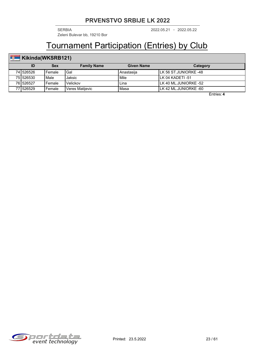2022.05.21 2022.05.22 SERBIA - Zeleni Bulevar bb, 19210 Bor

## Tournament Participation (Entries) by Club

### **Kikinda(WKSRB121)**

|           | Sex      | <b>Family Name</b>     | <b>Given Name</b> | Category               |
|-----------|----------|------------------------|-------------------|------------------------|
| 741526526 | l Female | Gal                    | Anastasija        | ILK 56 ST.JUNIORKE -48 |
| 751526530 | Male     | Jaksic                 | l Mile            | ILK 04 KADETI-51       |
| 761526527 | l Female | Velickov               | Lina              | ILK 40 ML.JUNIORKE -52 |
| 771526529 | Female   | <b>Veres Matilevic</b> | Masa              | ILK 42 ML.JUNIORKE -60 |

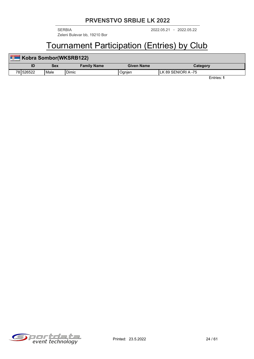2022.05.21 2022.05.22 SERBIA - Zeleni Bulevar bb, 19210 Bor

### Tournament Participation (Entries) by Club

| <b>Read</b> | Kobra Sombor(WKSRB122) |      |                    |                   |                      |  |  |  |  |
|-------------|------------------------|------|--------------------|-------------------|----------------------|--|--|--|--|
|             |                        | Sex  | <b>Family Name</b> | <b>Given Name</b> | Category             |  |  |  |  |
|             | 78 526522              | Male | Dimic              | Ognjen            | ILK 89 SENIORI A -75 |  |  |  |  |

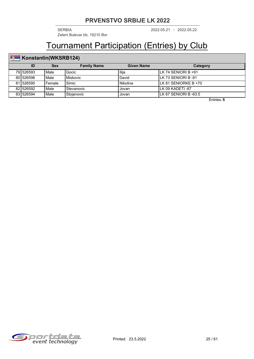2022.05.21 2022.05.22 SERBIA - Zeleni Bulevar bb, 19210 Bor

### Tournament Participation (Entries) by Club

#### **Konstantin(WKSRB124)**

| ID        | Sex    | <b>Family Name</b> | <b>Given Name</b> | Category              |
|-----------|--------|--------------------|-------------------|-----------------------|
| 791526593 | Male   | Gocic              | Ilija             | ILK 74 SENIORI B +91  |
| 801526596 | Male   | Miskovic           | David             | ILK 73 SENIORI B -91  |
| 811526595 | Female | Simic              | l Nikolina        | ILK 81 SENIORKE B +70 |
| 821526592 | Male   | Stevanovic         | Jovan             | ILK 09 KADETI -67     |
| 831526594 | Male   | Stoianovic         | Jovan             | ILK 67 SENIORI B-63.5 |

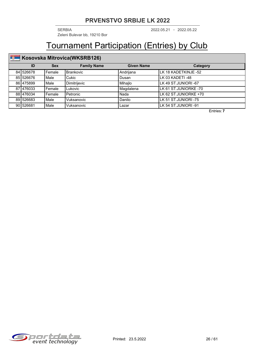2022.05.21 2022.05.22 SERBIA - Zeleni Bulevar bb, 19210 Bor

## Tournament Participation (Entries) by Club

### **Kosovska Mitrovica(WKSRB126)**

| ID        | <b>Sex</b> | <b>Family Name</b> | <b>Given Name</b> | <b>Category</b>        |
|-----------|------------|--------------------|-------------------|------------------------|
| 841526678 | l Female   | l Brankovic        | Andrijana         | LK 18 KADETKINJE -52   |
| 85 526676 | l Male     | <b>Cukic</b>       | Dusan             | LK 03 KADETI -48       |
| 86 475899 | l Male     | Dimitrijevic       | Mihajlo           | LK 49 ST.JUNIORI -67   |
| 87 476033 | l Female   | <b>Lukovic</b>     | Magdalena         | LLK 61 ST.JUNIORKE -70 |
| 88 476034 | l Female   | l Petronic         | l Nada            | LK 62 ST.JUNIORKE +70  |
| 89 526683 | Male       | Vuksanovic         | Danilo            | LLK 51 ST.JUNIORI -75  |
| 901526681 | Male       | Vuksanovic         | Lazar             | LLK 54 ST.JUNIORI -91  |

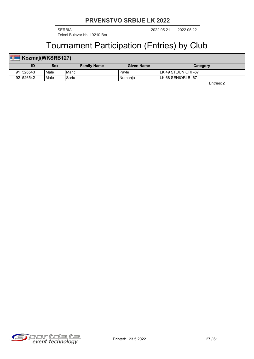2022.05.21 2022.05.22 SERBIA - Zeleni Bulevar bb, 19210 Bor

### Tournament Participation (Entries) by Club

#### **Kozmaj(WKSRB127)** m, **ID Sex Family Name Given Name Category** 91 526543 | Male | Maric | Pavle | Pavle | LK 49 ST.JUNIORI -67 92 526542 Male Saric Nemanja LK 68 SENIORI B -67

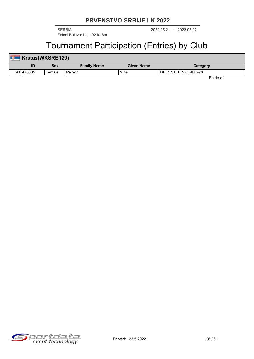2022.05.21 2022.05.22 SERBIA - Zeleni Bulevar bb, 19210 Bor

### Tournament Participation (Entries) by Club

| Krstas(WKSRB129) |        |                    |            |                        |  |
|------------------|--------|--------------------|------------|------------------------|--|
| ID               | Sex    | <b>Family Name</b> | Given Name | Category               |  |
| 931476035        | Female | l Peiovic          | l Mina     | ILK 61 ST.JUNIORKE -70 |  |

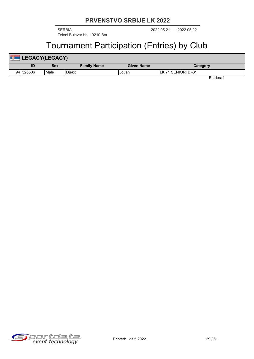2022.05.21 2022.05.22 SERBIA - Zeleni Bulevar bb, 19210 Bor

## Tournament Participation (Entries) by Club

| 置<br><b>LEGACY(LEGACY)</b> |            |                    |                   |                     |  |  |
|----------------------------|------------|--------------------|-------------------|---------------------|--|--|
| ID                         | <b>Sex</b> | <b>Family Name</b> | <b>Given Name</b> | Category            |  |  |
| 94 526506                  | l Male     | Djekic             | Jovan             | LK 71 SENIORI B -81 |  |  |

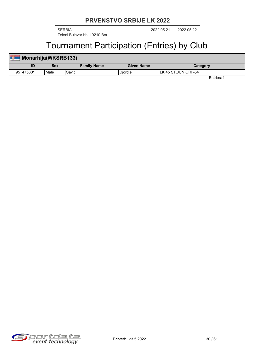2022.05.21 2022.05.22 SERBIA - Zeleni Bulevar bb, 19210 Bor

### Tournament Participation (Entries) by Club

| Monarhija(WKSRB133) |           |      |                    |                   |                       |  |
|---------------------|-----------|------|--------------------|-------------------|-----------------------|--|
|                     | ID        | Sex  | <b>Family Name</b> | <b>Given Name</b> | Category              |  |
|                     | 951475881 | Male | Savic              | <b>Diordie</b>    | ILK 45 ST.JUNIORI -54 |  |

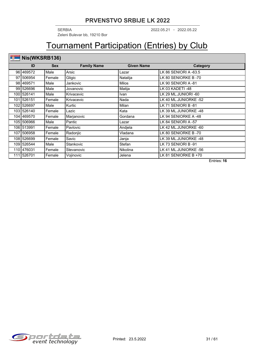2022.05.21 2022.05.22 SERBIA - Zeleni Bulevar bb, 19210 Bor

## Tournament Participation (Entries) by Club

### **Nis(WKSRB136)**

| ID           | <b>Sex</b> | <b>Family Name</b> | <b>Given Name</b> | Category              |
|--------------|------------|--------------------|-------------------|-----------------------|
| 96 469572    | Male       | Arsic              | Lazar             | LK 86 SENIORI A -63.5 |
| 97 506954    | Female     | Gligic             | Natalija          | LK 80 SENIORKE B-70   |
| 98 469571    | Male       | Jankovic           | <b>Milos</b>      | LK 90 SENIORI A -81   |
| 99 526696    | Male       | Jovanovic          | Matija            | LK 03 KADETI-48       |
| 1001526141   | Male       | Krivacevic         | <b>Ivan</b>       | LK 29 ML.JUNIORI -60  |
| 101   526151 | Female     | Krivacevic         | Nada              | LK 40 ML.JUNIORKE -52 |
| 1021526697   | Male       | Kurtic             | Milan             | LK 71 SENIORI B-81    |
| 1031526140   | Female     | Lazic              | Kata              | LK 39 ML.JUNIORKE -48 |
| 104   469570 | Female     | Marjanovic         | Gordana           | LK 94 SENIORKE A -48  |
| 105 506966   | Male       | Pantic             | Lazar             | LK 84 SENIORI A -57   |
| 106 513991   | Female     | Pavlovic           | Andjela           | LK 42 ML.JUNIORKE -60 |
| 107 506958   | Female     | Radonjic           | Vladana           | LK 80 SENIORKE B-70   |
| 108 526699   | Female     | Savic              | Janja             | LK 39 ML.JUNIORKE -48 |
| 109   526544 | Male       | Stankovic          | Stefan            | LK 73 SENIORI B-91    |
| 110 476031   | Female     | Stevanovic         | <b>Nikolina</b>   | LK 41 ML.JUNIORKE -56 |
| 111 526701   | Female     | Vojinovic          | Jelena            | LK 81 SENIORKE B +70  |

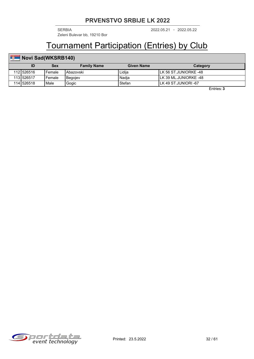2022.05.21 2022.05.22 SERBIA - Zeleni Bulevar bb, 19210 Bor

## Tournament Participation (Entries) by Club

### **Novi Sad(WKSRB140)**

|            | Sex      | <b>Family Name</b> | Given Name | Category               |
|------------|----------|--------------------|------------|------------------------|
| 112 526516 | l Female | I Abazovski        | Lidiia     | ILK 56 ST.JUNIORKE -48 |
| 113 526517 | l Female | Begojev            | Nadia      | ILK 39 ML.JUNIORKE -48 |
| 114 526518 | Male     | Gogic              | Stefan     | LLK 49 ST.JUNIORI -67  |

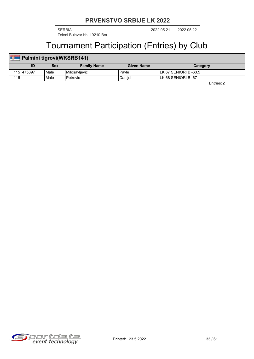2022.05.21 2022.05.22 SERBIA - Zeleni Bulevar bb, 19210 Bor

### Tournament Participation (Entries) by Club

| <b>T</b> | Palmini tigrovi(WKSRB141) |      |                    |                   |                        |  |  |
|----------|---------------------------|------|--------------------|-------------------|------------------------|--|--|
|          |                           | Sex  | <b>Family Name</b> | <b>Given Name</b> | Category               |  |  |
|          | 1151475897                | Male | Milosavlievic      | ' Pavle           | ILK 67 SENIORI B -63.5 |  |  |
| 116      |                           | Male | l Petrovic         | Daniiel           | ILK 68 SENIORI B -67   |  |  |

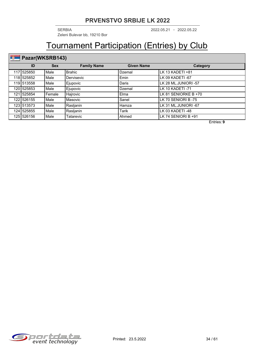2022.05.21 2022.05.22 SERBIA - Zeleni Bulevar bb, 19210 Bor

## Tournament Participation (Entries) by Club

## Pazar(WKSRB143)

| ID         | <b>Sex</b> | <b>Family Name</b> | <b>Given Name</b> | Category             |
|------------|------------|--------------------|-------------------|----------------------|
| 117 525850 | Male       | <b>Brahic</b>      | Dzemal            | lLK 13 KADETI +81    |
| 118 525852 | Male       | Dervisevic         | Emin              | LK 09 KADETI -67     |
| 119 513558 | Male       | Ejupovic           | Daris             | LK 28 ML.JUNIORI -57 |
| 120 525853 | Male       | Ejupovic           | Dzemal            | LK 10 KADETI -71     |
| 121 525854 | Female     | Hajrovic           | Elma              | LK 81 SENIORKE B +70 |
| 122 526155 | Male       | Masovic            | Sanel             | LK 70 SENIORI B -75  |
| 123 513573 | Male       | Rasljanin          | Hamza             | LK 31 ML.JUNIORI -67 |
| 124 525855 | Male       | Rasljanin          | <b>Tarik</b>      | LK 03 KADETI -48     |
| 125 526156 | Male       | Tatarevic          | Ahmed             | LK 74 SENIORI B +91  |

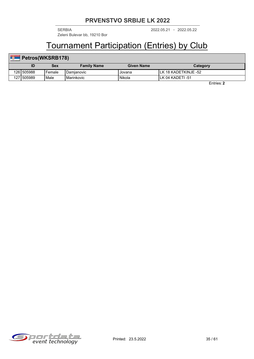2022.05.21 2022.05.22 SERBIA - Zeleni Bulevar bb, 19210 Bor

## Tournament Participation (Entries) by Club

## **Petros(WKSRB178)**

|            | Sex      | <b>Family Name</b>  | <b>Given Name</b> | Category                |
|------------|----------|---------------------|-------------------|-------------------------|
| 1261505988 | l Female | <b>I</b> Damianovic | Jovana            | 18 KADETKINJE -52<br>LK |
| 127 505989 | Male     | <b>I</b> Marinkovic | Nikola            | lLK 04 KADETI -51       |

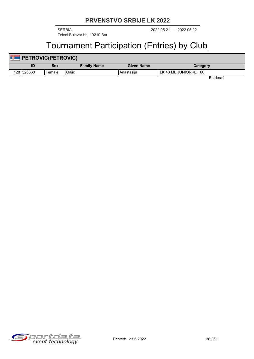Zeleni Bulevar bb, 19210 Bor

2022.05.21 2022.05.22 SERBIA -

## Tournament Participation (Entries) by Club

| <b>County</b> | <b>PETROVIC(PETROVIC)</b> |            |                    |                   |                        |  |  |  |  |
|---------------|---------------------------|------------|--------------------|-------------------|------------------------|--|--|--|--|
|               | ID                        | <b>Sex</b> | <b>Family Name</b> | <b>Given Name</b> | Category               |  |  |  |  |
|               | 1281526660                | 'Female    | Gajic              | Anastasiia        | ILK 43 ML.JUNIORKE +60 |  |  |  |  |

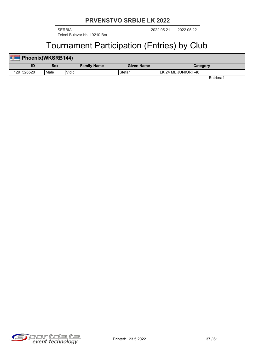2022.05.21 2022.05.22 SERBIA - Zeleni Bulevar bb, 19210 Bor

## Tournament Participation (Entries) by Club

| <b>FO</b> | Phoenix(WKSRB144) |                   |                    |                   |                       |  |  |  |  |  |
|-----------|-------------------|-------------------|--------------------|-------------------|-----------------------|--|--|--|--|--|
|           | ID                | Sex               | <b>Family Name</b> | <b>Given Name</b> | Category              |  |  |  |  |  |
|           | 1291526520        | <sup>I</sup> Male | Vidic              | Stefan            | ILK 24 ML.JUNIORI -48 |  |  |  |  |  |

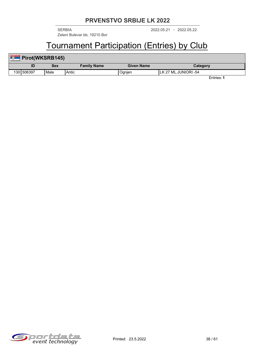2022.05.21 2022.05.22 SERBIA - Zeleni Bulevar bb, 19210 Bor

# Tournament Participation (Entries) by Club

| ÷ | Pirot(WKSRB145) |      |                    |                   |                      |  |  |  |  |
|---|-----------------|------|--------------------|-------------------|----------------------|--|--|--|--|
|   |                 | Sex  | <b>Family Name</b> | <b>Given Name</b> | Category             |  |  |  |  |
|   | 1301506397      | Male | Antic              | Ognjen            | LK 27 ML.JUNIORI -54 |  |  |  |  |

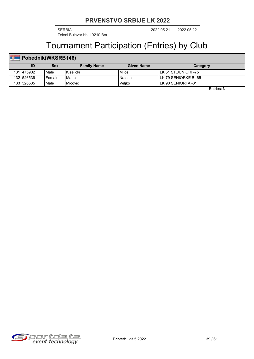2022.05.21 2022.05.22 SERBIA - Zeleni Bulevar bb, 19210 Bor

# Tournament Participation (Entries) by Club

## **Pobednik(WKSRB146)**

|            | Sex      | <b>Family Name</b> | Given Name | Category              |
|------------|----------|--------------------|------------|-----------------------|
| 131 475902 | l Male   | <b>I</b> Kiselicki | Milos      | ILK 51 ST.JUNIORI -75 |
| 132 526536 | l Female | l Maric            | Natasa     | ILK 79 SENIORKE B -65 |
| 1331526535 | l Male   | <b>I</b> Micovic   | Veliko     | ILK 90 SENIORI A -81  |

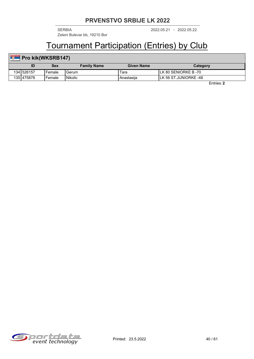2022.05.21 2022.05.22 SERBIA - Zeleni Bulevar bb, 19210 Bor

## Tournament Participation (Entries) by Club

## **Pro kik(WKSRB147)**

|            | Sex      | <b>Family Name</b> | Given Name | Category              |
|------------|----------|--------------------|------------|-----------------------|
| 134 526157 | l Female | l Gerum            | Tara       | ILK 80 SENIORKE B -70 |
| 135 475878 | l Female | l Nikolic          | Anastasiia | LK 56 ST.JUNIORKE -48 |

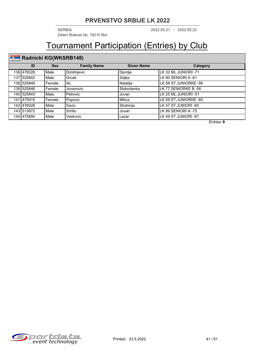2022.05.21 2022.05.22 SERBIA - Zeleni Bulevar bb, 19210 Bor

## Tournament Participation (Entries) by Club

## **Radnicki KG(WKSRB148)**

| ID          | <b>Sex</b> | <b>Family Name</b> | <b>Given Name</b> | Category              |
|-------------|------------|--------------------|-------------------|-----------------------|
| 136 476028  | Male       | Dimitrijevic       | Djordje           | LK 32 ML.JUNIORI -71  |
| 137 525842  | Male       | Grcak              | Zeljko            | LK 90 SENIORI A -81   |
| 138 525848  | Female     | llic               | Natalija          | LK 58 ST.JUNIORKE -56 |
| 139 525846  | Female     | Jovanovic          | Slobodanka        | LK 77 SENIORKE B -56  |
| 140 525843  | Male       | Petrovic           | Jovan             | LK 25 ML.JUNIORI -51  |
| 141 475 915 | Female     | Popovic            | Milica            | LK 59 ST.JUNIORKE -60 |
| 142 476026  | Male       | Savic              | Strahinja         | LK 47 ST.JUNIORI -60  |
| 143 513872  | Male       | Smilic             | Jovan             | LK 89 SENIORI A -75   |
| 144 475894  | Male       | Veskovic           | Lazar             | LK 49 ST.JUNIORI -67  |

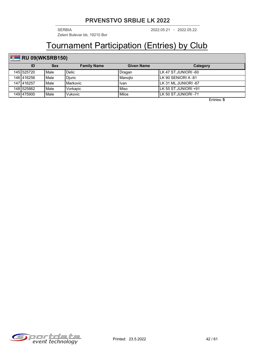2022.05.21 2022.05.22 SERBIA - Zeleni Bulevar bb, 19210 Bor

## Tournament Participation (Entries) by Club

## **RU 09(WKSRB150)**

| ID         | <b>Sex</b> | <b>Family Name</b> | <b>Given Name</b> | Category              |
|------------|------------|--------------------|-------------------|-----------------------|
| 145 525720 | Male       | Delic              | Dragan            | ILK 47 ST.JUNIORI -60 |
| 146 416256 | Male       | Djuric             | l Manoilo         | ILK 90 SENIORI A -81  |
| 147 416257 | Male       | l Markovic         | lvan              | LLK 31 ML.JUNIORI -67 |
| 148 525862 | Male       | Vorkapic           | l Miso            | ILK 55 ST.JUNIORI +91 |
| 149 475900 | Male       | <b>Vukovic</b>     | l Milos           | ILK 50 ST.JUNIORI -71 |

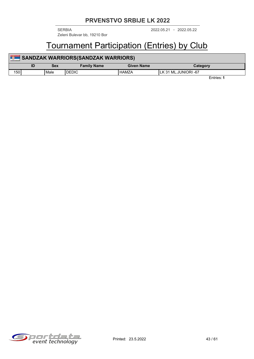Zeleni Bulevar bb, 19210 Bor

2022.05.21 2022.05.22 SERBIA -

## Tournament Participation (Entries) by Club

| <b>Page</b> | <b>SANDZAK WARRIORS(SANDZAK WARRIORS)</b> |      |                    |                   |                       |  |  |  |  |
|-------------|-------------------------------------------|------|--------------------|-------------------|-----------------------|--|--|--|--|
|             | ID                                        | Sex  | <b>Family Name</b> | <b>Given Name</b> | Category              |  |  |  |  |
| 150         |                                           | Male | <b>DEDIC</b>       | <b>HAMZA</b>      | ILK 31 ML.JUNIORI -67 |  |  |  |  |
|             |                                           |      |                    |                   | Entries: 1            |  |  |  |  |

Sportdata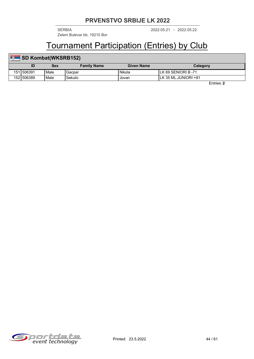2022.05.21 2022.05.22 SERBIA - Zeleni Bulevar bb, 19210 Bor

## Tournament Participation (Entries) by Club

#### **ID Sex Family Name Given Name Category SD Kombat(WKSRB152)** 151 506391 | Male | Gacpar | Nikola | Nikola | LK 69 SENIORI B -71 152 506389 Male Sekulic Jovan LK 35 ML.JUNIORI +81

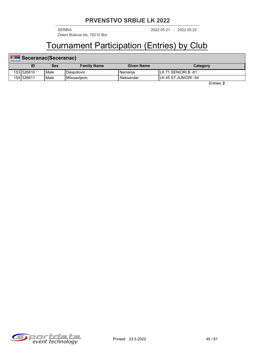2022.05.21 2022.05.22 SERBIA - Zeleni Bulevar bb, 19210 Bor

## Tournament Participation (Entries) by Club

| Seceranac(Seceranac) |      |                        |                   |                       |  |  |  |  |  |
|----------------------|------|------------------------|-------------------|-----------------------|--|--|--|--|--|
| ID                   | Sex  | <b>Family Name</b>     | <b>Given Name</b> | Category              |  |  |  |  |  |
| 1531526610           | Male | Despotovic             | l Nemania         | ILK 71 SENIORI B -81  |  |  |  |  |  |
| 1541526611           | Male | <b>I</b> Milosavlievic | Aleksandar        | ILK 45 ST.JUNIORI -54 |  |  |  |  |  |

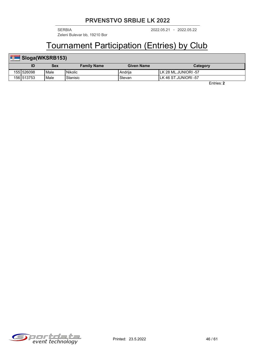2022.05.21 2022.05.22 SERBIA - Zeleni Bulevar bb, 19210 Bor

## Tournament Participation (Entries) by Club

#### **ID Sex Family Name Given Name Category** Sloga(WKSRB153) 155 526098 | Male | Nikolic | China | Andrija | LK 28 ML.JUNIORI -57 156 513753 Male Stanisic Stevan LK 46 ST.JUNIORI -57

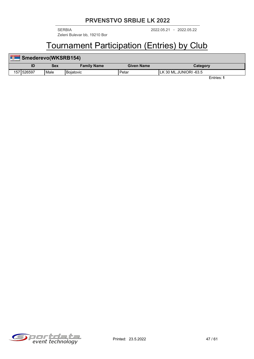2022.05.21 2022.05.22 SERBIA - Zeleni Bulevar bb, 19210 Bor

## Tournament Participation (Entries) by Club

| <b>B</b> | Smederevo(WKSRB154) |      |                    |                   |                         |  |  |  |  |
|----------|---------------------|------|--------------------|-------------------|-------------------------|--|--|--|--|
|          | ID                  | Sex  | <b>Family Name</b> | <b>Given Name</b> | Category                |  |  |  |  |
|          | 1571526597          | Male | l Boiatovic        | Petar             | ILK 30 ML.JUNIORI -63.5 |  |  |  |  |

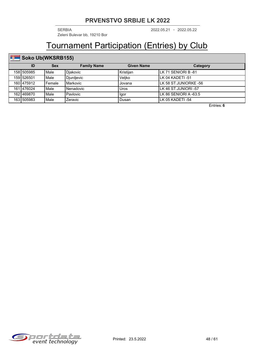2022.05.21 2022.05.22 SERBIA - Zeleni Bulevar bb, 19210 Bor

# Tournament Participation (Entries) by Club

### **Soko Ub(WKSRB155)**

| ID |            | <b>Sex</b>       | <b>Family Name</b> | Given Name  | Category               |
|----|------------|------------------|--------------------|-------------|------------------------|
|    | 1581505985 | Male<br>Diakovic |                    | l Kristiian | ILK 71 SENIORI B -81   |
|    | 1591526501 | Male             | Djurdjevic         | Veliko      | ILK 04 KADETI -51      |
|    | 160 475912 | Female           | Markovic           | Jovana      | LLK 58 ST.JUNIORKE -56 |
|    | 1611476024 | Male             | Nenadovic          | Uros        | ILK 46 ST.JUNIORI -57  |
|    | 1621469870 | Male             | Pavlovic           | Igor        | ILK 86 SENIORI A -63.5 |
|    | 163 505983 | Male             | Zeravic            | Dusan       | LK 05 KADETI -54       |

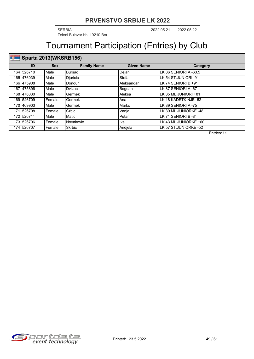2022.05.21 2022.05.22 SERBIA - Zeleni Bulevar bb, 19210 Bor

# Tournament Participation (Entries) by Club

### **Sparta 2013(WKSRB156)**

| ID         | <b>Sex</b> | <b>Family Name</b> | <b>Given Name</b> | Category              |
|------------|------------|--------------------|-------------------|-----------------------|
| 164 526710 | Male       | <b>Bursac</b>      | Dejan             | LK 86 SENIORI A -63.5 |
| 165 476039 | Male       | Djuricic           | Stefan            | LK 54 ST.JUNIORI -91  |
| 166 475908 | Male       | Dondur             | Aleksandar        | LK 74 SENIORI B +91   |
| 167 475896 | Male       | <b>Dvizac</b>      | Bogdan            | LK 87 SENIORI A -67   |
| 168 476030 | Male       | Germek             | Aleksa            | LK 35 ML.JUNIORI +81  |
| 169 526709 | Female     | Germek             | Ana               | LK 18 KADETKINJE -52  |
| 170 469903 | Male       | Germek             | Marko             | LK 89 SENIORI A -75   |
| 171 526708 | Female     | Grbic              | Vanja             | LK 39 ML.JUNIORKE -48 |
| 172 526711 | Male       | Matic              | Petar             | LK 71 SENIORI B-81    |
| 173 526706 | Female     | Novakovic          | lva               | LK 43 ML.JUNIORKE +60 |
| 174 526707 | Female     | <b>Skrbic</b>      | Andjela           | LK 57 ST.JUNIORKE -52 |

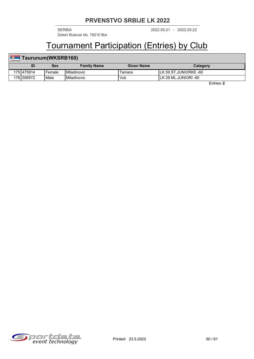2022.05.21 2022.05.22 SERBIA - Zeleni Bulevar bb, 19210 Bor

## Tournament Participation (Entries) by Club

## **Taurunum(WKSRB160)**

| 1V           | Sex      | <b>Family Name</b>   | Given Name | Category                   |  |
|--------------|----------|----------------------|------------|----------------------------|--|
| 175   475914 | l Female | l Miladinovic        | l amara    | . 59 ST.JUNIORKE -60<br>LK |  |
| 1761506972   | Male     | <b>I</b> Miladinovic | Vuk        | . 29 ML.JUNIORI -60        |  |

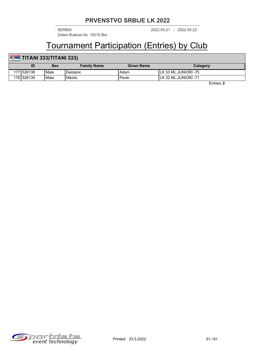Zeleni Bulevar bb, 19210 Bor

2022.05.21 2022.05.22 SERBIA -

## Tournament Participation (Entries) by Club

## **TITANI 333(TITANI 333)**

|            | Sex  | <b>Family Name</b> | Given Name | Category              |
|------------|------|--------------------|------------|-----------------------|
| 1771526138 | Male | 'Destanic          | Adam       | . 33 ML.JUNIORI -75   |
| 178 526139 | Male | l Nikolic          | Pavle      | ILK 32 ML.JUNIORI -71 |

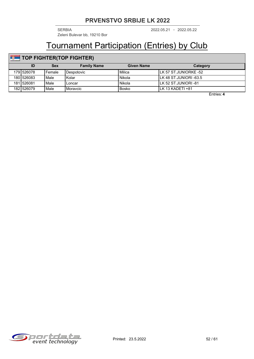2022.05.21 2022.05.22 SERBIA - Zeleni Bulevar bb, 19210 Bor

## Tournament Participation (Entries) by Club

## **TOP FIGHTER(TOP FIGHTER)**

| ID         | Sex    | <b>Family Name</b> | <b>Given Name</b> | Category                |
|------------|--------|--------------------|-------------------|-------------------------|
| 179 526078 | Female | Despotovic         | l Milica          | ILK 57 ST.JUNIORKE -52  |
| 1801526083 | Male   | Kolar              | l Nikola          | ILK 48 ST.JUNIORI -63.5 |
| 1811526081 | Male   | _oncar             | l Nikola          | ILK 52 ST.JUNIORI -81   |
| 1821526079 | Male   | Moravcic           | l Bosko           | ILK 13 KADETI +81       |

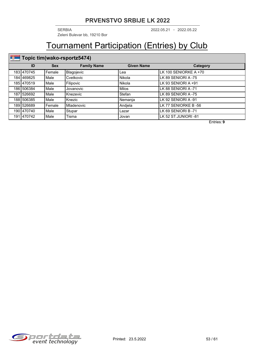2022.05.21 2022.05.22 SERBIA - Zeleni Bulevar bb, 19210 Bor

## Tournament Participation (Entries) by Club

## **Topic tim(wako-rsportz5474)**

| ID          | <b>Sex</b>             | <b>Family Name</b> | <b>Given Name</b> | Category              |
|-------------|------------------------|--------------------|-------------------|-----------------------|
| 183 470745  | Female                 | Blagojevic         | Lea               | LK 100 SENIORKE A +70 |
| 184 469825  | Male                   | Cvetkovic          | Nikola            | LK 89 SENIORI A -75   |
| 185 470519  | Male                   | Filipovic          | Nikola            | LK 93 SENIORI A +91   |
| 186 506384  | Male                   | Jovanovic          | Milos             | LK 88 SENIORI A -71   |
| 187 526692  | Male                   | Knezevic           | Stefan            | LLK 89 SENIORI A -75  |
| 188 506385  | Male                   | Knezic             | Nemania           | LK 92 SENIORI A -91   |
| 189 526689  | Mladenovic<br>i Female |                    | Andjela           | LK 77 SENIORKE B -56  |
| 190 470 740 | Male                   | Stupar             | Lazar             | LK 69 SENIORI B -71   |
| 191 470 742 | Male                   | Tisma              | Jovan             | LK 52 ST.JUNIORI -81  |

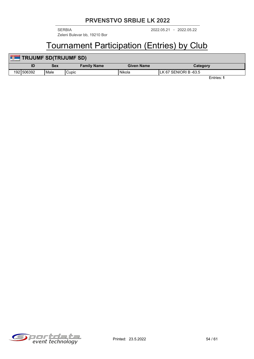2022.05.21 2022.05.22 SERBIA - Zeleni Bulevar bb, 19210 Bor

## Tournament Participation (Entries) by Club

| <b>County</b> | <b>TRIJUMF SD(TRIJUMF SD)</b> |      |                    |            |                        |  |  |  |
|---------------|-------------------------------|------|--------------------|------------|------------------------|--|--|--|
|               |                               | Sex  | <b>Family Name</b> | Given Name | Category               |  |  |  |
|               | 1921506392                    | Male | Cupic              | Nikola     | ILK 67 SENIORI B -63.5 |  |  |  |

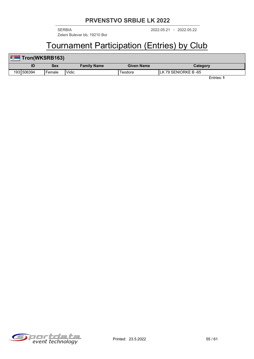2022.05.21 2022.05.22 SERBIA - Zeleni Bulevar bb, 19210 Bor

# Tournament Participation (Entries) by Club

| <b>Fron(WKSRB163)</b> |        |                    |                   |                      |  |  |  |  |  |
|-----------------------|--------|--------------------|-------------------|----------------------|--|--|--|--|--|
|                       | Sex    | <b>Family Name</b> | <b>Given Name</b> | Category             |  |  |  |  |  |
| 1931506394            | Female | <b>Vidic</b>       | ⊺eodora           | LK 79 SENIORKE B -65 |  |  |  |  |  |

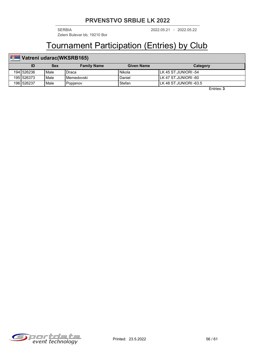2022.05.21 2022.05.22 SERBIA - Zeleni Bulevar bb, 19210 Bor

## Tournament Participation (Entries) by Club

#### **ID Sex Family Name Given Name Category Vatreni udarac(WKSRB165)** 194 526236 Male Draca Nikola LK 45 ST.JUNIORI -54 195 526373 Male Memedovski Daniel LK 47 ST.JUNIORI -60 196 526237 Male Popjanov Stefan LK 48 ST.JUNIORI -63.5

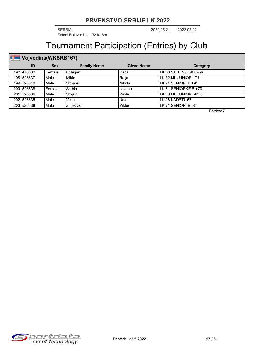2022.05.21 2022.05.22 SERBIA - Zeleni Bulevar bb, 19210 Bor

# Tournament Participation (Entries) by Club

## **Vojvodina(WKSRB167)**

| ID<br><b>Sex</b> |            |          | <b>Family Name</b>                             | <b>Given Name</b>                | Category                |  |
|------------------|------------|----------|------------------------------------------------|----------------------------------|-------------------------|--|
|                  | 197 476032 | l Female | Erdeljan                                       | l Rada                           | ILK 58 ST.JUNIORKE -56  |  |
|                  | 1981526637 | Male     | <b>Mikic</b><br>Relia<br>LLK 32 ML.JUNIORI -71 |                                  |                         |  |
|                  | 199 526640 | Male     | Simanic                                        | LLK 74 SENIORI B +91<br>l Nikola |                         |  |
|                  | 200 526638 | l Female | Skrbic                                         | Jovana                           | LLK 81 SENIORKE B +70   |  |
|                  | 201 526636 | Male     | Stojsin                                        | Pavle                            | LLK 30 ML.JUNIORI -63.5 |  |
|                  | 202 526635 | Male     | Velic                                          | Uros                             | ILK 06 KADETI-57        |  |
|                  | 203 526639 | Male     | Zeljkovic                                      | Viktor                           | LLK 71 SENIORI B -81    |  |

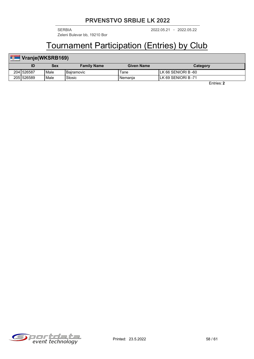2022.05.21 2022.05.22 SERBIA - Zeleni Bulevar bb, 19210 Bor

## Tournament Participation (Entries) by Club

#### **ID Sex Family Name Given Name Category Vranje(WKSRB169)** 204 526587 Male Bajramovic Tane LK 66 SENIORI B -60 205 526589 Male Stosic Nemanja LK 69 SENIORI B -71

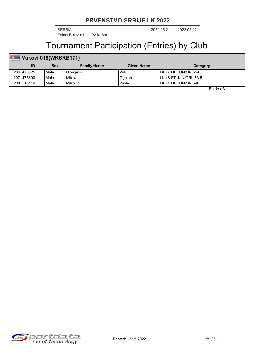2022.05.21 2022.05.22 SERBIA - Zeleni Bulevar bb, 19210 Bor

## Tournament Participation (Entries) by Club

## **Vukovi 018(WKSRB171)**

|            | Sex    | <b>Family Name</b> | Given Name | Category                |
|------------|--------|--------------------|------------|-------------------------|
| 206 476025 | Male   | l Diordievic       | Vuk        | ILK 27 ML.JUNIORI -54   |
| 207 475890 | Male   | l Mitrovic         | Jgnjen     | ILK 48 ST.JUNIORI -63.5 |
| 208 513449 | l Male | l Mitrovic         | Pavle      | ILK 24 ML.JUNIORI -48   |

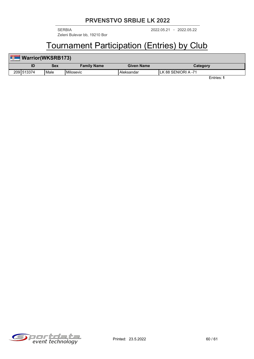2022.05.21 2022.05.22 SERBIA - Zeleni Bulevar bb, 19210 Bor

## Tournament Participation (Entries) by Club

| Warrior(WKSRB173) |      |                    |                   |                     |  |  |  |  |
|-------------------|------|--------------------|-------------------|---------------------|--|--|--|--|
|                   | Sex  | <b>Family Name</b> | <b>Given Name</b> | Category            |  |  |  |  |
| 2091513374        | Male | l Milosevic        | , Aleksandar      | LK 88 SENIORI A -71 |  |  |  |  |

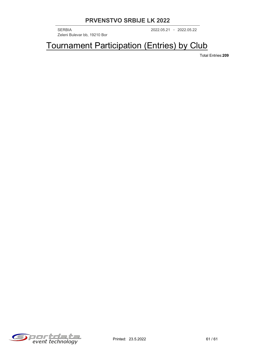2022.05.21 2022.05.22 SERBIA - Zeleni Bulevar bb, 19210 Bor

Tournament Participation (Entries) by Club

Total Entries:**209**

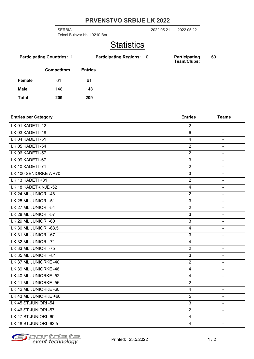Zeleni Bulevar bb, 19210 Bor

2022.05.21 2022.05.22 SERBIA -

## **Statistics**

| <b>Participating Countries: 1</b> |                    |                | <b>Participating Regions: 0</b> |  | <b>Participating</b><br>Team/Clubs: | 60 |
|-----------------------------------|--------------------|----------------|---------------------------------|--|-------------------------------------|----|
|                                   | <b>Competitors</b> | <b>Entries</b> |                                 |  |                                     |    |
| Female                            | 61                 | 61             |                                 |  |                                     |    |
| <b>Male</b>                       | 148                | 148            |                                 |  |                                     |    |
| <b>Total</b>                      | 209                | 209            |                                 |  |                                     |    |

| <b>Entries per Category</b> | <b>Entries</b> | <b>Teams</b>   |
|-----------------------------|----------------|----------------|
| LK 01 KADETI-42             | $\overline{2}$ |                |
| LK 03 KADETI-48             | $\,6\,$        | $\blacksquare$ |
| LK 04 KADETI-51             | $\overline{4}$ |                |
| LK 05 KADETI -54            | $\overline{2}$ | $\blacksquare$ |
| LK 06 KADETI-57             | $\overline{2}$ | $\blacksquare$ |
| LK 09 KADETI-67             | $\overline{3}$ |                |
| LK 10 KADETI-71             | $\overline{2}$ | $\blacksquare$ |
| LK 100 SENIORKE A +70       | $\overline{3}$ | $\blacksquare$ |
| LK 13 KADETI +81            | $\overline{2}$ | $\blacksquare$ |
| LK 18 KADETKINJE -52        | $\overline{4}$ | $\blacksquare$ |
| LK 24 ML.JUNIORI -48        | $\overline{2}$ |                |
| LK 25 ML.JUNIORI -51        | $\overline{3}$ | $\blacksquare$ |
| LK 27 ML.JUNIORI -54        | $\overline{2}$ | $\blacksquare$ |
| LK 28 ML.JUNIORI -57        | $\overline{3}$ | $\blacksquare$ |
| LK 29 ML.JUNIORI -60        | $\overline{3}$ | $\blacksquare$ |
| LK 30 ML.JUNIORI -63.5      | $\overline{4}$ | $\blacksquare$ |
| LK 31 ML.JUNIORI -67        | $\mathfrak{S}$ | $\blacksquare$ |
| LK 32 ML.JUNIORI -71        | $\overline{4}$ | $\blacksquare$ |
| LK 33 ML.JUNIORI -75        | $\overline{2}$ | $\blacksquare$ |
| LK 35 ML.JUNIORI +81        | $\mathfrak{B}$ | $\blacksquare$ |
| LK 37 ML.JUNIORKE -40       | $\overline{2}$ | $\blacksquare$ |
| LK 39 ML.JUNIORKE -48       | $\overline{4}$ | $\blacksquare$ |
| LK 40 ML.JUNIORKE -52       | $\overline{4}$ | $\blacksquare$ |
| LK 41 ML.JUNIORKE -56       | $\overline{2}$ |                |
| LK 42 ML.JUNIORKE -60       | $\overline{4}$ | $\blacksquare$ |
| LK 43 ML.JUNIORKE +60       | $\overline{5}$ | $\sim$         |
| LK 45 ST.JUNIORI -54        | $\overline{3}$ | $\blacksquare$ |
| LK 46 ST.JUNIORI -57        | $\overline{2}$ | $\blacksquare$ |
| LK 47 ST.JUNIORI -60        | $\overline{4}$ | $\blacksquare$ |
| LK 48 ST.JUNIORI -63.5      | $\overline{4}$ | $\blacksquare$ |

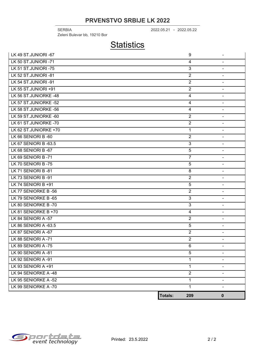2022.05.21 2022.05.22 SERBIA - Zeleni Bulevar bb, 19210 Bor

## **Statistics**

| LK 49 ST.JUNIORI -67  |                | 9              | $\blacksquare$ |
|-----------------------|----------------|----------------|----------------|
| LK 50 ST.JUNIORI-71   |                | $\overline{4}$ | $\blacksquare$ |
| LK 51 ST.JUNIORI -75  |                | $\overline{3}$ | $\blacksquare$ |
| LK 52 ST.JUNIORI -81  |                | $\overline{2}$ | $\blacksquare$ |
| LK 54 ST.JUNIORI -91  |                | $\overline{2}$ | $\blacksquare$ |
| LK 55 ST.JUNIORI +91  |                | $\overline{2}$ | $\blacksquare$ |
| LK 56 ST.JUNIORKE -48 |                | $\overline{4}$ | $\blacksquare$ |
| LK 57 ST.JUNIORKE -52 |                | $\overline{4}$ | $\blacksquare$ |
| LK 58 ST.JUNIORKE -56 |                | $\overline{4}$ | $\blacksquare$ |
| LK 59 ST.JUNIORKE -60 |                | $\overline{2}$ | $\blacksquare$ |
| LK 61 ST.JUNIORKE -70 |                | $\overline{2}$ | $\blacksquare$ |
| LK 62 ST.JUNIORKE +70 |                | $\mathbf{1}$   | $\blacksquare$ |
| LK 66 SENIORI B-60    |                | $\overline{2}$ | $\blacksquare$ |
| LK 67 SENIORI B -63.5 |                | $\mathfrak{S}$ | $\blacksquare$ |
| LK 68 SENIORI B-67    |                | 5              | $\blacksquare$ |
| LK 69 SENIORI B-71    |                | $\overline{7}$ | $\blacksquare$ |
| LK 70 SENIORI B-75    |                | 5              | $\blacksquare$ |
| LK 71 SENIORI B-81    |                | 8              | $\blacksquare$ |
| LK 73 SENIORI B-91    |                | $\overline{2}$ | $\blacksquare$ |
| LK 74 SENIORI B +91   |                | 5              | $\blacksquare$ |
| LK 77 SENIORKE B-56   |                | $\overline{2}$ | $\sim$         |
| LK 79 SENIORKE B-65   |                | $\overline{3}$ | $\blacksquare$ |
| LK 80 SENIORKE B-70   |                | $\overline{3}$ | $\blacksquare$ |
| LK 81 SENIORKE B +70  |                | $\overline{4}$ | $\sim$         |
| LK 84 SENIORI A -57   |                | $\overline{2}$ | $\blacksquare$ |
| LK 86 SENIORI A -63.5 |                | $\overline{5}$ | $\blacksquare$ |
| LK 87 SENIORI A -67   |                | $\overline{2}$ | $\blacksquare$ |
| LK 88 SENIORI A-71    |                | $\overline{2}$ | $\blacksquare$ |
| LK 89 SENIORI A -75   |                | 6              | $\sim$         |
| LK 90 SENIORI A-81    |                | 5              | ٠              |
| LK 92 SENIORI A -91   |                | 1              | $\blacksquare$ |
| LK 93 SENIORI A +91   |                | 1              |                |
| LK 94 SENIORKE A -48  |                | $\overline{2}$ | $\blacksquare$ |
| LK 95 SENIORKE A -52  |                | 1              | $\blacksquare$ |
| LK 99 SENIORKE A-70   |                | 1              |                |
|                       | <b>Totals:</b> | 209            | $\mathbf 0$    |

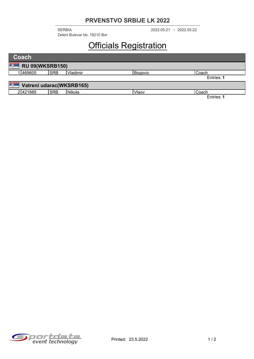Zeleni Bulevar bb, 19210 Bor

2022.05.21 2022.05.22 SERBIA -

# Officials Registration

| <b>Coach</b>                   |            |          |         |            |  |  |  |
|--------------------------------|------------|----------|---------|------------|--|--|--|
| ä,<br><b>RU 09(WKSRB150)</b>   |            |          |         |            |  |  |  |
| 469605                         | <b>SRB</b> | Vladimir | Bogovic | Coach      |  |  |  |
|                                |            |          |         | Entries: 1 |  |  |  |
| 50<br>Vatreni udarac(WKSRB165) |            |          |         |            |  |  |  |
| 2421885                        | <b>SRB</b> | Nikola   | Vlaov   | Coach      |  |  |  |
|                                |            |          |         | Entries: 1 |  |  |  |

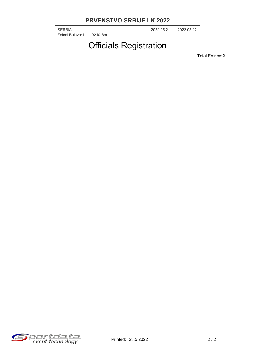2022.05.21 2022.05.22 SERBIA - Zeleni Bulevar bb, 19210 Bor

## Officials Registration

Total Entries:**2**

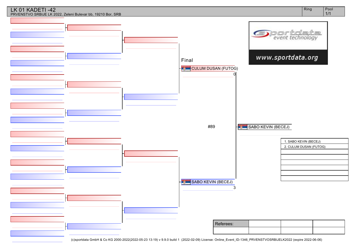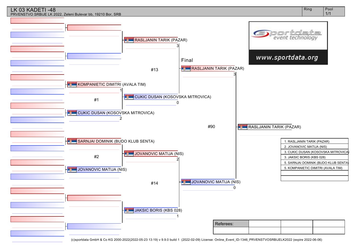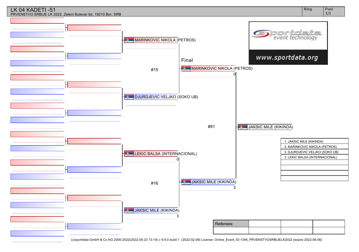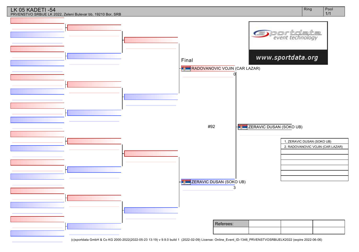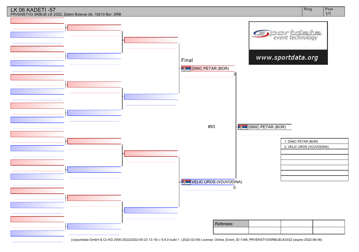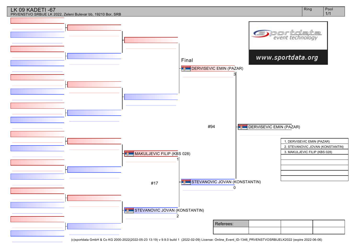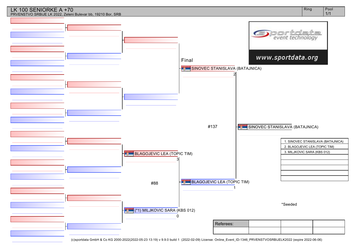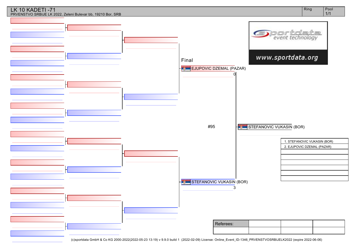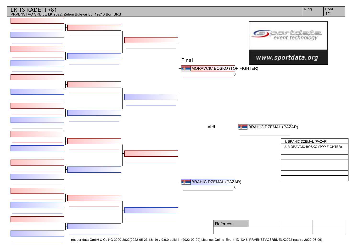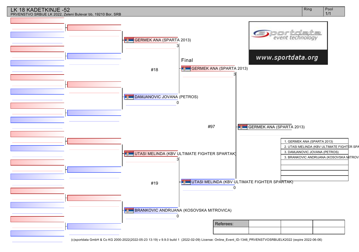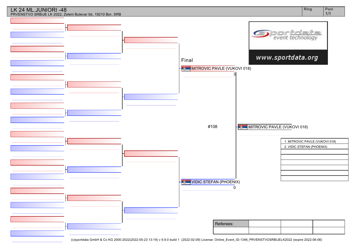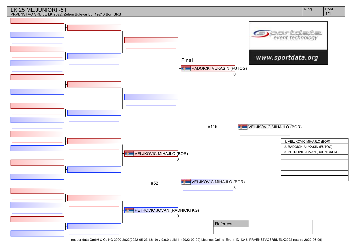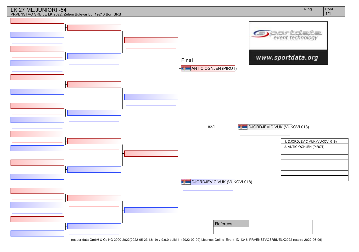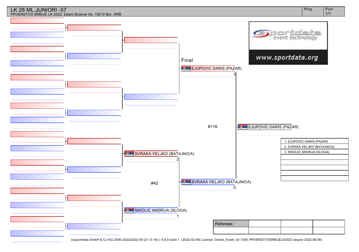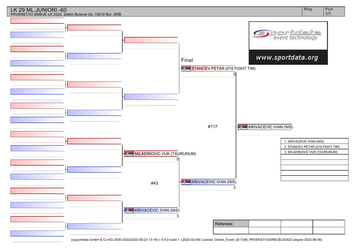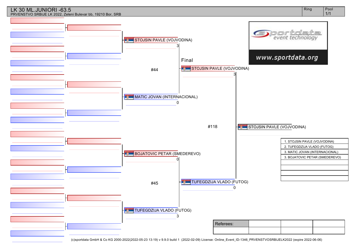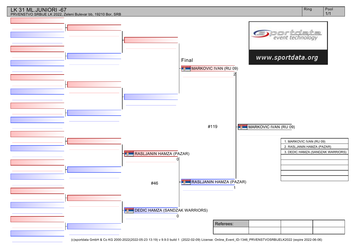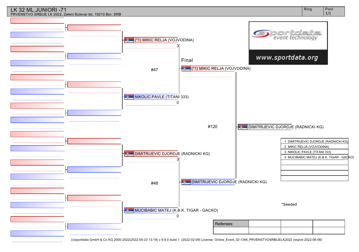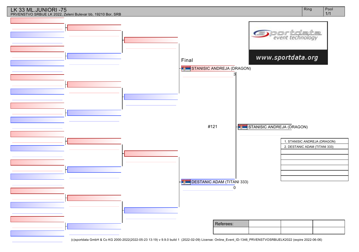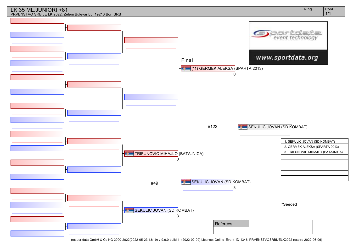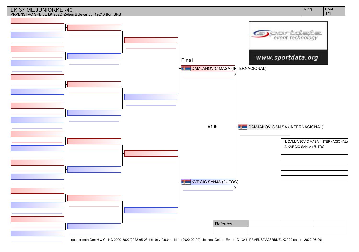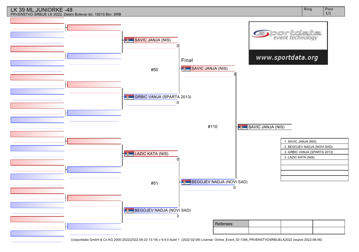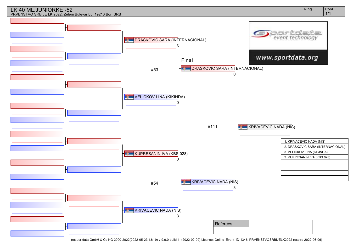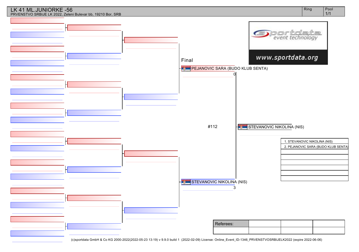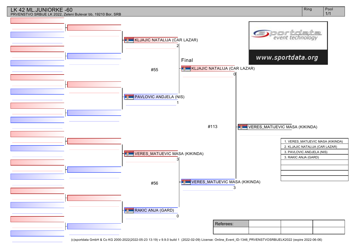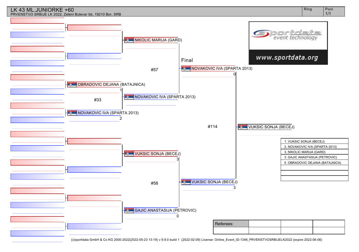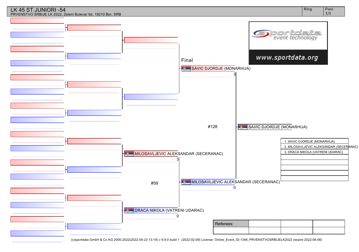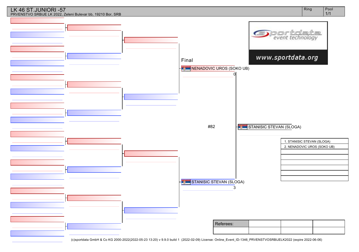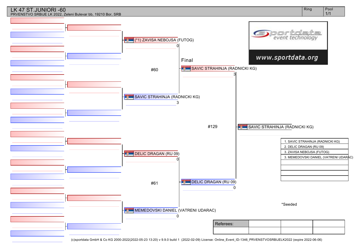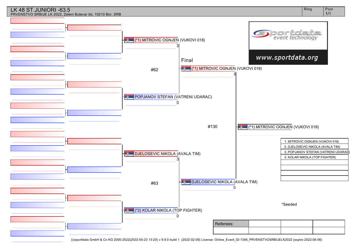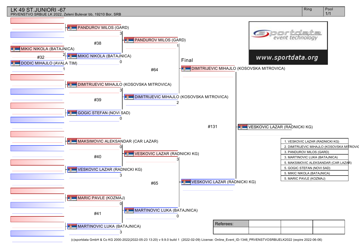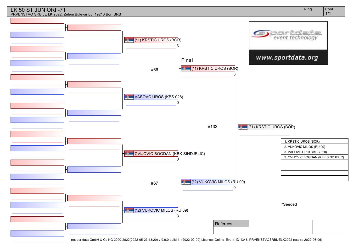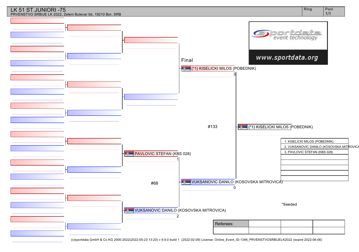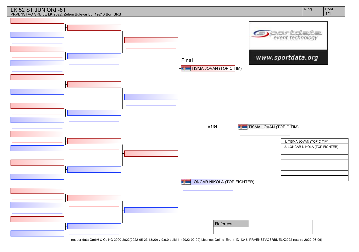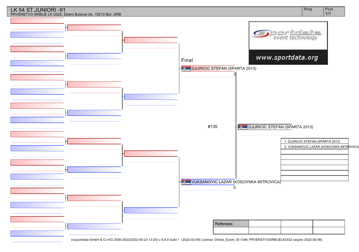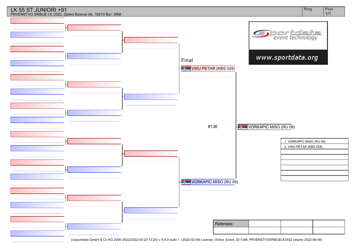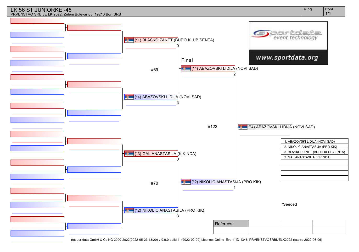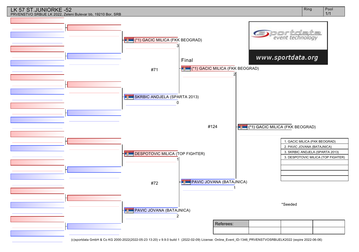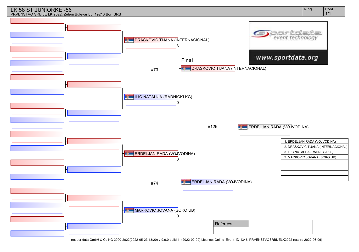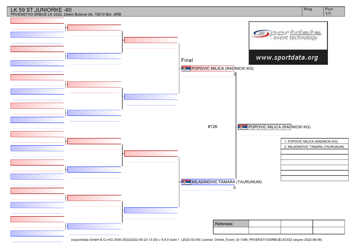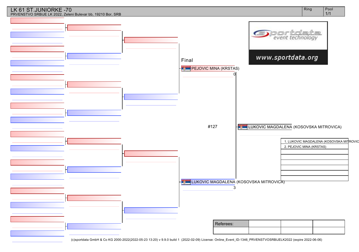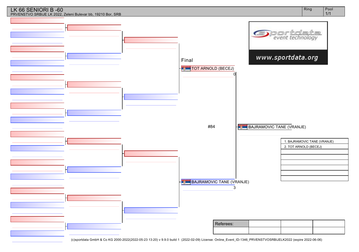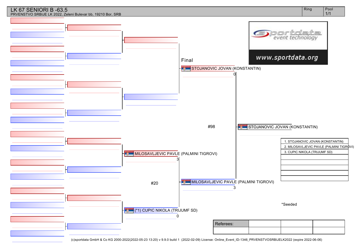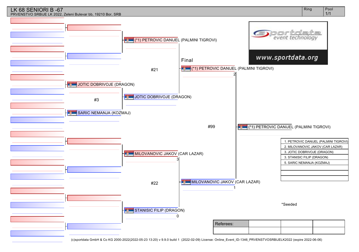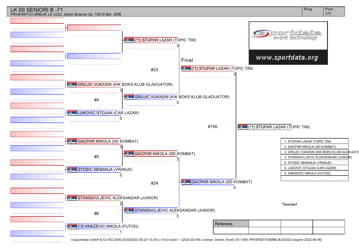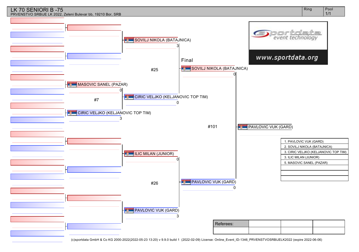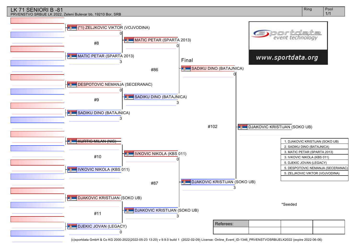#### LK 71 SENIORI B -81 PRVENSTVO SRBIJE LK 2022, Zeleni Bulevar bb, 19210 Bor, SRB

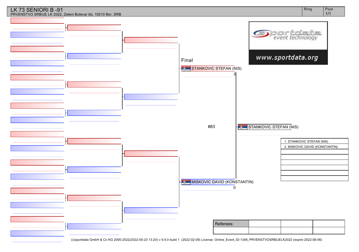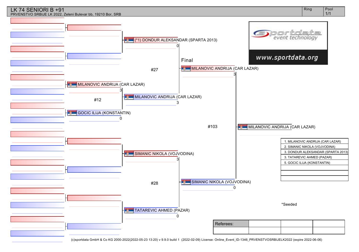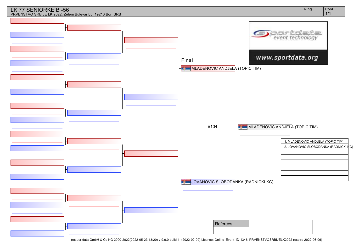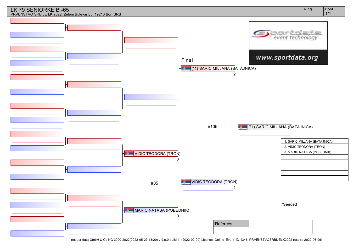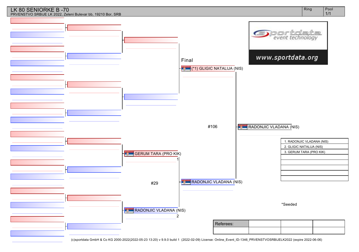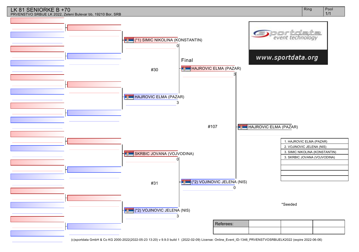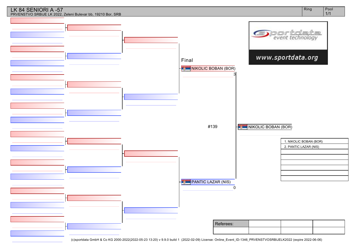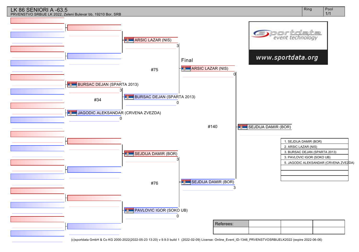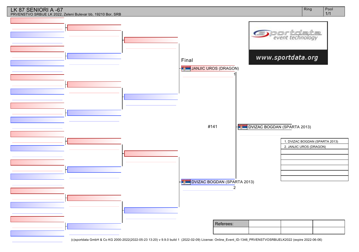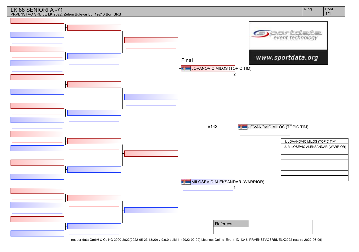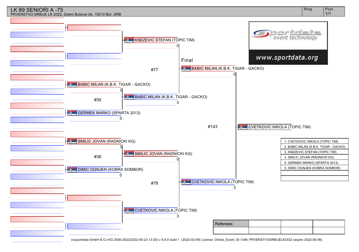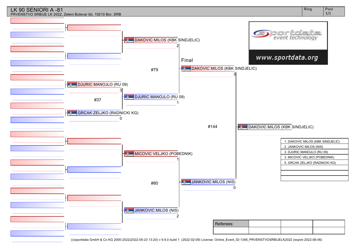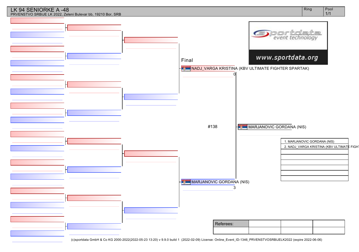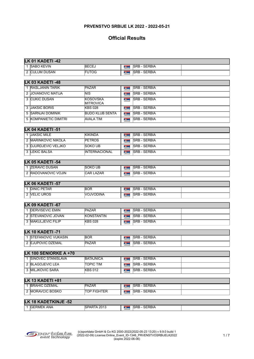# **Official Results**

|   | LK 01 KADETI -42                         |                              |                    |                                            |  |
|---|------------------------------------------|------------------------------|--------------------|--------------------------------------------|--|
|   | 1 SABO KEVIN                             | <b>BECEJ</b>                 | <b>Taken</b>       | <b>SRB - SERBIA</b>                        |  |
|   | 2 CULUM DUSAN                            | <b>FUTOG</b>                 | <b>Taylor</b>      | <b>SRB - SERBIA</b>                        |  |
|   | LK 03 KADETI-48                          |                              |                    |                                            |  |
|   | 1 RASLJANIN TARIK                        | PAZAR                        | <b>Taylor</b>      | <b>SRB - SERBIA</b>                        |  |
|   | 2 JOVANOVIC MATIJA                       | NIS                          | <b>Taylor</b>      | <b>SRB - SERBIA</b>                        |  |
|   | 3 CUKIC DUSAN                            | <b>KOSOVSKA</b>              | <b>Taylor</b>      | <b>SRB - SERBIA</b>                        |  |
|   |                                          | <b>MITROVICA</b>             |                    |                                            |  |
|   | 3 JAKSIC BORIS                           | <b>KBS 028</b>               | <b>Taylor</b>      | <b>SRB - SERBIA</b>                        |  |
|   | 5 SARNJAI DOMINIK                        | <b>BUDO KLUB SENTA</b>       | <b>Typical</b>     | <b>SRB - SERBIA</b>                        |  |
|   | 5 KOMPANIETIC DIMITRI                    | <b>AVALA TIM</b>             | <b>Taylor</b>      | <b>SRB - SERBIA</b>                        |  |
|   | LK 04 KADETI -51                         |                              |                    |                                            |  |
|   | 1 JAKSIC MILE                            | <b>KIKINDA</b>               | <b>Taylor</b>      | <b>SRB - SERBIA</b>                        |  |
|   | 2 MARINKOVIC NIKOLA                      | <b>PETROS</b>                | <b>Tarton</b>      | <b>SRB - SERBIA</b>                        |  |
|   | 3 DJURDJEVIC VELJKO                      | SOKO UB                      | <b>Taylor</b>      | <b>SRB - SERBIA</b>                        |  |
|   | 3 LEKIC BALSA                            | <b>INTERNACIONAL</b>         | <b>Typical</b>     | <b>SRB - SERBIA</b>                        |  |
|   |                                          |                              |                    |                                            |  |
|   | LK 05 KADETI -54                         |                              |                    |                                            |  |
|   | 1 ZERAVIC DUSAN                          | <b>SOKO UB</b>               | <b>Taylor</b>      | <b>SRB - SERBIA</b>                        |  |
|   | 2 RADOVANOVIC VOJIN                      | <b>CAR LAZAR</b>             | <b>Taylor</b>      | <b>SRB - SERBIA</b>                        |  |
|   | LK 06 KADETI -57                         |                              |                    |                                            |  |
|   | 1 DINIC PETAR                            | BOR.                         | <b>Taylor</b>      | <b>SRB - SERBIA</b>                        |  |
|   | 2 VELIC UROS                             | NOJVODINA                    | <b>The Control</b> | <b>SRB - SERBIA</b>                        |  |
|   |                                          |                              |                    |                                            |  |
|   | LK 09 KADETI -67                         |                              |                    |                                            |  |
|   | 1 <b>DERVISEVIC EMIN</b>                 | <b>PAZAR</b>                 | <b>Taylor</b>      | <b>SRB - SERBIA</b><br><b>SRB - SERBIA</b> |  |
|   | 2 STEVANOVIC JOVAN<br>3 MAKULJEVIC FILIP | KONSTANTIN<br><b>KBS 028</b> | <b>Taylor</b>      | <b>SRB - SERBIA</b>                        |  |
|   |                                          |                              | <b>Taylor</b>      |                                            |  |
|   | LK 10 KADETI -71                         |                              |                    |                                            |  |
|   | 1 STEFANOVIC VUKASIN                     | <b>BOR</b>                   | <b>September</b>   | <b>SRB - SERBIA</b>                        |  |
|   | 2 EJUPOVIC DZEMAL                        | <b>PAZAR</b>                 | <b>Taylor</b>      | <b>SRB - SERBIA</b>                        |  |
|   |                                          |                              |                    |                                            |  |
|   | LK 100 SENIORKE A +70                    |                              |                    |                                            |  |
|   | 1 SINOVEC STANISLAVA                     | <b>BATAJNICA</b>             | <b>Taylor</b>      | <b>SRB - SERBIA</b>                        |  |
|   | 2 BLAGOJEVIC LEA                         | <b>TOPIC TIM</b>             | <b>Taylor</b>      | <b>SRB - SERBIA</b>                        |  |
|   | 3 MILJKOVIC SARA                         | <b>KBS 012</b>               | <b>Taylor</b>      | <b>SRB - SERBIA</b>                        |  |
|   | LK 13 KADETI +81                         |                              |                    |                                            |  |
|   | 1 BRAHIC DZEMAL                          | PAZAR                        | <b>Taken</b>       | <b>SRB - SERBIA</b>                        |  |
|   | 2 MORAVCIC BOSKO                         | TOP FIGHTER                  | <b>Taylor</b>      | <b>SRB - SERBIA</b>                        |  |
|   |                                          |                              |                    |                                            |  |
|   | <b>LK 18 KADETKINJE -52</b>              |                              |                    |                                            |  |
| 1 | <b>GERMEK ANA</b>                        | SPARTA 2013                  | <b>September</b>   | <b>SRB - SERBIA</b>                        |  |
|   |                                          |                              |                    |                                            |  |

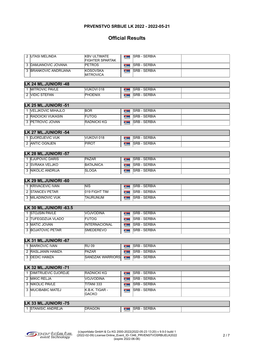| 2 UTASI MELINDA                            | <b>KBV ULTIMATE</b><br><b>FIGHTER SPARTAK</b> | <b>SRB - SERBIA</b><br><b>Talling</b>                         |  |
|--------------------------------------------|-----------------------------------------------|---------------------------------------------------------------|--|
| 3 DAMJANOVIC JOVANA                        | <b>PETROS</b>                                 | <b>SRB - SERBIA</b><br>$\mathbf{z}$                           |  |
| 3 BRANKOVIC ANDRIJANA                      | <b>KOSOVSKA</b><br>MITROVICA                  | <b>SRB - SERBIA</b><br><b>Service</b>                         |  |
| LK 24 ML.JUNIORI -48                       |                                               |                                                               |  |
| 1 MITROVIC PAVLE                           | VUKOVI 018                                    | <b>SRB - SERBIA</b><br><b>Taylor</b>                          |  |
| 2 VIDIC STEFAN                             | PHOENIX                                       | <b>SRB - SERBIA</b><br><b>Tartists</b>                        |  |
| LK 25 ML.JUNIORI -51                       |                                               |                                                               |  |
| 1 VELJKOVIC MIHAJLO                        | <b>BOR</b>                                    | <b>SRB - SERBIA</b><br><b>Taylor</b>                          |  |
| 2 RADOICKI VUKASIN                         | <b>FUTOG</b>                                  | <b>SRB - SERBIA</b><br><b>Typical</b>                         |  |
| 3 PETROVIC JOVAN                           | <b>RADNICKI KG</b>                            | <b>SRB - SERBIA</b><br>$\sim$                                 |  |
| LK 27 ML.JUNIORI -54                       |                                               |                                                               |  |
| 1 DJORDJEVIC VUK                           | VUKOVI 018                                    | <b>SRB - SERBIA</b><br><b>Taylor</b>                          |  |
| 2 ANTIC OGNJEN                             | PIROT                                         | <b>SRB - SERBIA</b><br><b>Tartists</b>                        |  |
|                                            |                                               |                                                               |  |
| LK 28 ML.JUNIORI -57                       |                                               | <b>SRB - SERBIA</b>                                           |  |
| 1 EJUPOVIC DARIS<br>2 SVRAKA VELJKO        | <b>PAZAR</b>                                  | <b>Taylor</b><br><b>SRB - SERBIA</b>                          |  |
|                                            | <b>BATAJNICA</b>                              | <b>Taylor</b>                                                 |  |
| 3 NIKOLIC ANDRIJA                          | <b>ISLOGA</b>                                 | <b>SRB - SERBIA</b><br><b>September</b>                       |  |
| LK 29 ML.JUNIORI -60                       |                                               |                                                               |  |
| 1 KRIVACEVIC IVAN                          | <b>NIS</b>                                    | <b>SRB - SERBIA</b><br><b>Taylor</b>                          |  |
| 2 STANCEV PETAR                            | 019 FIGHT TIM                                 | <b>SRB - SERBIA</b><br><b>System</b>                          |  |
| 3 MILADINOVIC VUK                          | <b>TAURUNUM</b>                               | ISRB - SERBIA<br><b>SUPPORT</b>                               |  |
| LK 30 ML.JUNIORI -63.5                     |                                               |                                                               |  |
| 1 STOJSIN PAVLE                            | VOJVODINA                                     | <b>SRB - SERBIA</b><br><b>September</b>                       |  |
| 2 TUFEGDZIJA VLADO                         | <b>FUTOG</b>                                  | <b>SRB - SERBIA</b><br><b>September</b>                       |  |
| 3 MATIC JOVAN                              | <b>INTERNACIONAL</b>                          | <b>SRB - SERBIA</b><br><b>September</b>                       |  |
| 3 BOJATOVIC PETAR                          | <b>SMEDEREVO</b>                              | <b>SRB - SERBIA</b><br><b>September</b>                       |  |
| LK 31 ML.JUNIORI -67                       |                                               |                                                               |  |
| 1 MARKOVIC IVAN                            | <b>RU 09</b>                                  | <b>SRB - SERBIA</b>                                           |  |
| 2 RASLJANIN HAMZA                          | PAZAR                                         | <b>Service</b><br><b>SRB - SERBIA</b><br>$\mathbf{z}$ , where |  |
| 3 DEDIC HAMZA                              | <b>SANDZAK WARRIORS</b>                       | <b>SRB - SERBIA</b><br><b>September</b>                       |  |
|                                            |                                               |                                                               |  |
| LK 32 ML.JUNIORI -71                       |                                               |                                                               |  |
| 1 <b>DIMITRIJEVIC DJORDJE</b>              | RADNICKI KG                                   | <b>SRB - SERBIA</b><br><b>TALLS</b>                           |  |
| 2 MIKIC RELJA                              | NOJVODINA                                     | <b>SRB - SERBIA</b><br><b>District</b>                        |  |
| 3 NIKOLIC PAVLE                            | TITANI 333                                    | <b>SRB - SERBIA</b><br><b>Taylor</b>                          |  |
| 3 MUCIBABIC MATEJ                          | K.B.K. TIGAR -<br><b>GACKO</b>                | <b>SRB - SERBIA</b><br>$\mathbf{z}$ , where                   |  |
|                                            |                                               |                                                               |  |
| LK 33 ML.JUNIORI -75<br>1 STANISIC ANDREJA | DRAGON                                        | <b>SRB - SERBIA</b>                                           |  |
|                                            |                                               | <b>SERVICE</b>                                                |  |

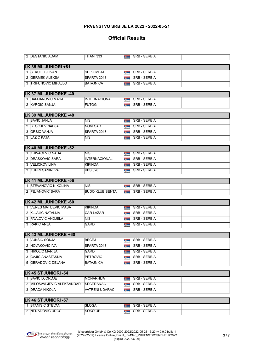| 2 DESTANIC ADAM            | TITANI 333              | <b>Taylor</b>                 | <b>SRB - SERBIA</b> |  |
|----------------------------|-------------------------|-------------------------------|---------------------|--|
| LK 35 ML.JUNIORI +81       |                         |                               |                     |  |
| 1 SEKULIC JOVAN            | <b>SD KOMBAT</b>        | <b>Talling</b>                | <b>SRB - SERBIA</b> |  |
| 2 GERMEK ALEKSA            | SPARTA 2013             | <b>System</b>                 | <b>SRB - SERBIA</b> |  |
| 3 TRIFUNOVIC MIHAJLO       | BATAJNICA               | <b>Taylor</b>                 | <b>SRB - SERBIA</b> |  |
|                            |                         |                               |                     |  |
| LK 37 ML.JUNIORKE -40      |                         |                               |                     |  |
| 1 DAMJANOVIC MASA          | <b>INTERNACIONAL</b>    | $\mathbf{z}$                  | <b>SRB - SERBIA</b> |  |
| 2 KVRGIC SANJA             | <b>FUTOG</b>            | <b>September</b>              | <b>SRB - SERBIA</b> |  |
| LK 39 ML.JUNIORKE -48      |                         |                               |                     |  |
| 1 <b>SAVIC JANJA</b>       | NIS.                    | <b>Taylor</b>                 | <b>SRB - SERBIA</b> |  |
| 2 BEGOJEV NADJA            | <b>NOVI SAD</b>         | <b>Taylor</b>                 | <b>SRB - SERBIA</b> |  |
| 3 GRBIC VANJA              | SPARTA 2013             | <b>September</b>              | <b>SRB - SERBIA</b> |  |
| 3 LAZIC KATA               | NIS.                    | $\sim$                        | <b>SRB - SERBIA</b> |  |
|                            |                         |                               |                     |  |
| LK 40 ML.JUNIORKE -52      |                         |                               |                     |  |
| 1 KRIVACEVIC NADA          | NIS                     | <b>Taylor</b>                 | <b>SRB - SERBIA</b> |  |
| 2 DRASKOVIC SARA           | <b>INTERNACIONAL</b>    | <b>September</b>              | <b>SRB - SERBIA</b> |  |
| 3 VELICKOV LINA            | <b>KIKINDA</b>          | <b>Taylor</b>                 | <b>SRB - SERBIA</b> |  |
| 3 KUPRESANIN IVA           | KBS 028                 | <b>September</b>              | <b>SRB - SERBIA</b> |  |
| LK 41 ML.JUNIORKE -56      |                         |                               |                     |  |
| 1 STEVANOVIC NIKOLINA      | INIS.                   | $\mathbf{z}$                  | <b>SRB - SERBIA</b> |  |
| 2 PEJANOVIC SARA           | <b>BUDO KLUB SENTA</b>  | <b>September</b>              | <b>SRB - SERBIA</b> |  |
|                            |                         |                               |                     |  |
| LK 42 ML.JUNIORKE -60      |                         |                               |                     |  |
| 1 VERES MATIJEVIC MASA     | <b>KIKINDA</b>          | <b>September</b>              | <b>SRB - SERBIA</b> |  |
| 2 KLJAJIC NATALIJA         | <b>CAR LAZAR</b>        | <b>September</b>              | <b>SRB - SERBIA</b> |  |
| 3 PAVLOVIC ANDJELA         | $\overline{\text{NIS}}$ | <b>September</b>              | <b>SRB - SERBIA</b> |  |
| 3 RAKIC ANJA               | <b>GARD</b>             | <b>September</b>              | <b>SRB - SERBIA</b> |  |
| LK 43 ML.JUNIORKE +60      |                         |                               |                     |  |
| 1 VUKSIC SONJA             | BECEJ                   | <b>Taylor</b>                 | <b>SRB - SERBIA</b> |  |
| 2 NOVAKOVIC IVA            | SPARTA 2013             | $\mathbf{z}$ and $\mathbf{z}$ | <b>SRB - SERBIA</b> |  |
| 3 NIKOLIC MARIJA           | <b>GARD</b>             | <b>September</b>              | <b>SRB - SERBIA</b> |  |
| 3 GAJIC ANASTASIJA         | PETROVIC                | $\mathbf{z}$ and $\mathbf{z}$ | <b>SRB - SERBIA</b> |  |
| 5 OBRADOVIC DEJANA         | BATAJNICA               | <b>Taylor</b>                 | <b>SRB - SERBIA</b> |  |
|                            |                         |                               |                     |  |
| LK 45 ST.JUNIORI -54       |                         |                               |                     |  |
| 1 SAVIC DJORDJE            | MONARHIJA               | <b>Taylor</b>                 | <b>SRB - SERBIA</b> |  |
| 2 MILOSAVLJEVIC ALEKSANDAR | SECERANAC               | <b>Taylor</b>                 | <b>SRB - SERBIA</b> |  |
| 3 <b>DRACA NIKOLA</b>      | <b>VATRENI UDARAC</b>   | <b>September</b>              | <b>SRB - SERBIA</b> |  |
|                            |                         |                               |                     |  |
| LK 46 ST.JUNIORI -57       |                         |                               |                     |  |
| 1 STANISIC STEVAN          | SLOGA                   | <b>SERVICE</b>                | <b>SRB - SERBIA</b> |  |
| 2 NENADOVIC UROS           | Soko ub                 | <b>Typical</b>                | <b>SRB - SERBIA</b> |  |

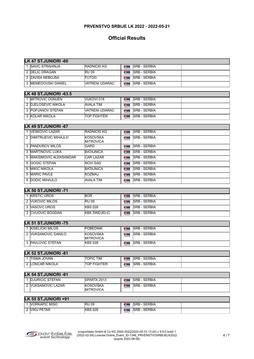| <b>LK 47 ST.JUNIORI -60</b>                      |                              |                  |                      |  |  |  |  |  |
|--------------------------------------------------|------------------------------|------------------|----------------------|--|--|--|--|--|
| 1 SAVIC STRAHINJA                                | <b>RADNICKI KG</b>           | <b>Taylor</b>    | <b>SRB - SERBIA</b>  |  |  |  |  |  |
| 2 DELIC DRAGAN                                   | <b>RU 09</b>                 | <b>September</b> | <b>ISRB - SERBIA</b> |  |  |  |  |  |
| 3 ZAVISA NEBOJSA                                 | <b>FUTOG</b>                 | <b>System</b>    | <b>SRB - SERBIA</b>  |  |  |  |  |  |
| 3 MEMEDOVSKI DANIEL                              | IVATRENI UDARAC              | <b>TABLE</b>     | <b>SRB - SERBIA</b>  |  |  |  |  |  |
| <b>LK 48 ST.JUNIORI -63.5</b>                    |                              |                  |                      |  |  |  |  |  |
| 1 MITROVIC OGNJEN                                | VUKOVI 018                   | <b>Taylor</b>    | <b>SRB - SERBIA</b>  |  |  |  |  |  |
| 2 DJELOSEVIC NIKOLA                              | AVALA TIM                    | <b>Section</b>   | <b>SRB - SERBIA</b>  |  |  |  |  |  |
| 3 POPJANOV STEFAN                                | <b>VATRENI UDARAC</b>        | <b>Tylin</b>     | <b>SRB - SERBIA</b>  |  |  |  |  |  |
| 3 KOLAR NIKOLA                                   | <b>TOP FIGHTER</b>           | <b>Taylor</b>    | <b>SRB - SERBIA</b>  |  |  |  |  |  |
| LK 49 ST.JUNIORI -67                             |                              |                  |                      |  |  |  |  |  |
| 1 <b>NESKOVIC LAZAR</b>                          | <b>RADNICKI KG</b>           | <b>Taylor</b>    | <b>SRB - SERBIA</b>  |  |  |  |  |  |
| 2 DIMITRIJEVIC MIHAJLO                           | KOSOVSKA<br><b>MITROVICA</b> | <b>System</b>    | <b>SRB - SERBIA</b>  |  |  |  |  |  |
| 3 PANDUROV MILOS                                 | <b>GARD</b>                  | <b>Table 1</b>   | <b>SRB - SERBIA</b>  |  |  |  |  |  |
| <b>3 IMARTINOVIC LUKA</b>                        | BATAJNICA                    | <b>Tylin</b>     | <b>SRB - SERBIA</b>  |  |  |  |  |  |
| MAKSIMOVIC ALEKSANDAR<br>5                       | <b>CAR LAZAR</b>             | <b>September</b> | <b>SRB - SERBIA</b>  |  |  |  |  |  |
| <b>GOGIC STEFAN</b><br>5                         | <b>NOVI SAD</b>              | $\sim$           | <b>SRB - SERBIA</b>  |  |  |  |  |  |
| 5 MIKIC NIKOLA                                   | <b>BATAJNICA</b>             | <b>Section</b>   | <b>SRB - SERBIA</b>  |  |  |  |  |  |
| 5 MARIC PAVLE                                    | KOZMAJ                       | <b>Taylor</b>    | <b>SRB - SERBIA</b>  |  |  |  |  |  |
| 9 DODIC MIHAJLO                                  | <b>AVALA TIM</b>             | <b>Section</b>   | <b>SRB - SERBIA</b>  |  |  |  |  |  |
|                                                  |                              |                  |                      |  |  |  |  |  |
| LK 50 ST.JUNIORI -71                             |                              |                  |                      |  |  |  |  |  |
| 1 KRSTIC UROS                                    | <b>BOR</b>                   | <b>Section</b>   | <b>SRB - SERBIA</b>  |  |  |  |  |  |
| 2 VUKOVIC MILOS                                  | <b>RU 09</b>                 | <b>September</b> | <b>SRB - SERBIA</b>  |  |  |  |  |  |
| 3 VASOVC UROS                                    | KBS 028                      | <b>Talling</b>   | <b>SRB - SERBIA</b>  |  |  |  |  |  |
| 3 CVIJOVIC BOGDAN                                | <b>KBK SINDJELIC</b>         | <b>Taylor</b>    | <b>SRB - SERBIA</b>  |  |  |  |  |  |
|                                                  |                              |                  |                      |  |  |  |  |  |
| <b>LK 51 ST.JUNIORI -75</b><br>1 KISELICKI MILOS | <b>POBEDNIK</b>              | <b>TABLE</b>     | <b>SRB - SERBIA</b>  |  |  |  |  |  |
| 2 VUKSANOVIC DANILO                              | KOSOVSKA<br><b>MITROVICA</b> | <b>System</b>    | <b>SRB - SERBIA</b>  |  |  |  |  |  |
| 3 PAVLOVIC STEFAN                                | <b>KBS 028</b>               | <b>Taylor</b>    | <b>SRB - SERBIA</b>  |  |  |  |  |  |
|                                                  |                              |                  |                      |  |  |  |  |  |
| LK 52 ST.JUNIORI -81<br>1 TISMA JOVAN            | <b>TOPIC TIM</b>             | <b>TAX</b>       | <b>SRB - SERBIA</b>  |  |  |  |  |  |
| 2 LONCAR NIKOLA                                  | <b>TOP FIGHTER</b>           | <b>September</b> | <b>SRB - SERBIA</b>  |  |  |  |  |  |
|                                                  |                              |                  |                      |  |  |  |  |  |
| LK 54 ST.JUNIORI -91                             |                              |                  |                      |  |  |  |  |  |
| 1 DJURICIC STEFAN                                | SPARTA 2013                  | <b>Taylor</b>    | <b>SRB - SERBIA</b>  |  |  |  |  |  |
| 2 VUKSANOVIC LAZAR                               | KOSOVSKA<br>MITROVICA        | <b>Taylor</b>    | <b>SRB - SERBIA</b>  |  |  |  |  |  |
| LK 55 ST.JUNIORI +91                             |                              |                  |                      |  |  |  |  |  |
| 1 VORKAPIC MISO<br>2 VIKU PETAR                  | RU 09                        | <b>September</b> | <b>SRB - SERBIA</b>  |  |  |  |  |  |

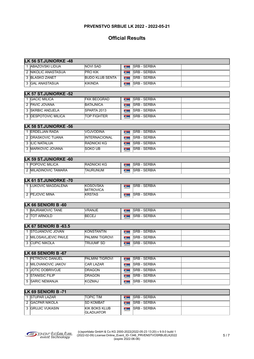| <b>LK 56 ST.JUNIORKE -48</b>                     |                                           |                                        |                     |  |
|--------------------------------------------------|-------------------------------------------|----------------------------------------|---------------------|--|
| 1 ABAZOVSKI LIDIJA                               | <b>NOVI SAD</b>                           | <b>SUPPORT</b>                         | <b>SRB - SERBIA</b> |  |
| 2 NIKOLIC ANASTASIJA                             | <b>PRO KIK</b>                            | <b>September</b>                       | <b>SRB - SERBIA</b> |  |
| 3 BLASKO ZANET                                   | <b>BUDO KLUB SENTA</b>                    | <b>The Contract</b>                    | <b>SRB - SERBIA</b> |  |
| 3 GAL ANASTASIJA                                 | <b>KIKINDA</b>                            | <b>Talling</b>                         | <b>SRB - SERBIA</b> |  |
| <b>LK 57 ST.JUNIORKE -52</b>                     |                                           |                                        |                     |  |
| 1 <b>GACIC MILICA</b>                            | <b>FKK BEOGRAD</b>                        | <b>Taylor</b>                          | <b>SRB - SERBIA</b> |  |
| 2 PAVIC JOVANA                                   | <b>BATAJNICA</b>                          | <b>September</b>                       | <b>SRB - SERBIA</b> |  |
| 3 SKRBIC ANDJELA                                 | SPARTA 2013                               | <b>September</b>                       | <b>SRB - SERBIA</b> |  |
| 3 <b>DESPOTOVIC MILICA</b>                       | <b>TOP FIGHTER</b>                        | <b>Tarton</b>                          | <b>SRB - SERBIA</b> |  |
| <b>LK 58 ST.JUNIORKE -56</b>                     |                                           |                                        |                     |  |
| 1 ERDELJAN RADA                                  | VOJVODINA                                 | <b>September</b>                       | <b>SRB - SERBIA</b> |  |
| 2 <b>DRASKOVIC TIJANA</b>                        | <b>INTERNACIONAL</b>                      | <b>Taylor</b>                          | <b>SRB - SERBIA</b> |  |
| 3 ILIC NATALIJA                                  | <b>RADNICKI KG</b>                        | <b>September</b>                       | <b>SRB - SERBIA</b> |  |
| 3 MARKOVIC JOVANA                                | SOKO UB                                   | <b>Taylor</b>                          | <b>SRB - SERBIA</b> |  |
|                                                  |                                           |                                        |                     |  |
| <b>LK 59 ST.JUNIORKE -60</b><br>1 POPOVIC MILICA | <b>RADNICKI KG</b>                        |                                        | <b>SRB - SERBIA</b> |  |
| 2 MILADINOVIC TAMARA                             | TAURUNUM                                  | <b>Taylor</b>                          | <b>SRB - SERBIA</b> |  |
|                                                  |                                           | <b>Talling</b>                         |                     |  |
| <b>LK 61 ST.JUNIORKE -70</b>                     |                                           |                                        |                     |  |
| 1 LUKOVIC MAGDALENA                              | KOSOVSKA<br>MITROVICA                     | <b>TANKS</b>                           | <b>SRB - SERBIA</b> |  |
| 2 PEJOVIC MINA                                   | <b>KRSTAS</b>                             | <b>Taylor</b>                          | <b>SRB - SERBIA</b> |  |
| LK 66 SENIORI B -60                              |                                           |                                        |                     |  |
| 1 BAJRAMOVIC TANE                                | VRANJE                                    | <b>Taylor</b>                          | <b>SRB - SERBIA</b> |  |
| 2  TOT ARNOLD                                    | <b>BECEJ</b>                              | <b>Talling</b>                         | <b>SRB - SERBIA</b> |  |
| LK 67 SENIORI B -63.5                            |                                           |                                        |                     |  |
| 1 STOJANOVIC JOVAN                               | <b>KONSTANTIN</b>                         |                                        | <b>SRB - SERBIA</b> |  |
| 2 MILOSAVLJEVIC PAVLE                            | <b>PALMINI TIGROVI</b>                    | <b>The Contract</b><br><b>Business</b> | <b>SRB - SERBIA</b> |  |
| 3 CUPIC NIKOLA                                   | <b>TRIJUMF SD</b>                         | <b>The Control</b>                     | <b>SRB - SERBIA</b> |  |
|                                                  |                                           |                                        |                     |  |
| LK 68 SENIORI B -67                              |                                           |                                        |                     |  |
| 1 PETROVIC DANIJEL                               | <b>PALMINI TIGROVI</b>                    | <b>September</b>                       | <b>SRB - SERBIA</b> |  |
| 2 MILOVANOVIC JAKOV                              | <b>CAR LAZAR</b>                          | <b>Business</b>                        | <b>SRB - SERBIA</b> |  |
| 3 JOTIC DOBRIVOJE                                | <b>DRAGON</b>                             | <b>September</b>                       | <b>SRB - SERBIA</b> |  |
| 3 STANISIC FILIP                                 | DRAGON                                    | <b>September</b>                       | <b>SRB - SERBIA</b> |  |
| 5 SARIC NEMANJA                                  | KOZMAJ                                    | <b>Taylor</b>                          | <b>SRB - SERBIA</b> |  |
| LK 69 SENIORI B -71                              |                                           |                                        |                     |  |
| 1 STUPAR LAZAR                                   | <b>TOPIC TIM</b>                          | <b>Taylor</b>                          | <b>SRB - SERBIA</b> |  |
| 2 GACPAR NIKOLA                                  | <b>SD KOMBAT</b>                          | <b>System</b>                          | <b>SRB - SERBIA</b> |  |
| 3 GRUJIC VUKASIN                                 | <b>KIK BOKS KLUB</b><br><b>GLADIJATOR</b> | <b>Business</b>                        | <b>SRB - SERBIA</b> |  |

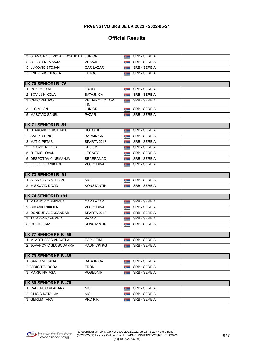## **Official Results**

| 3 STANISAVLJEVIC ALEKSANDAR IJUNIOR |                   | <b>SRB - SERBIA</b>  |  |
|-------------------------------------|-------------------|----------------------|--|
| 5 ISTOSIC NEMANJA                   | NRANJE            | <b>SRB - SERBIA</b>  |  |
| 5 ILUKOVIC STOJAN                   | <b>ICAR LAZAR</b> | <b>ISRB - SERBIA</b> |  |
| 5 KNEZEVIC NIKOLA                   | <b>FUTOG</b>      | <b>SRB - SERBIA</b>  |  |

| <b>LK 70 SENIORI B-75</b> |                               |  |                     |  |  |
|---------------------------|-------------------------------|--|---------------------|--|--|
| 1 PAVLOVIC VUK            | <b>GARD</b>                   |  | <b>SRB - SERBIA</b> |  |  |
| 2 SOVILJ NIKOLA           | <b>BATAJNICA</b>              |  | <b>SRB - SERBIA</b> |  |  |
| 3 CIRIC VELJKO            | <b>IKELJANOVIC TOP</b><br>TIM |  | <b>SRB - SERBIA</b> |  |  |
| 3 ILIC MILAN              | <b>JUNIOR</b>                 |  | <b>SRB - SERBIA</b> |  |  |
| 5 <b>IMASOVIC SANEL</b>   | <b>PAZAR</b>                  |  | <b>SRB - SERBIA</b> |  |  |

| LK 71 SENIORI B -81         |                   |  |                      |  |  |
|-----------------------------|-------------------|--|----------------------|--|--|
| 1 DJAKOVIC KRISTIJAN        | <b>SOKO UB</b>    |  | <b>SRB - SERBIA</b>  |  |  |
| 2 ISADIKU DINO              | <b>BATAJNICA</b>  |  | <b>SRB - SERBIA</b>  |  |  |
| 3 IMATIC PETAR              | SPARTA 2013       |  | <b>ISRB - SERBIA</b> |  |  |
| 3 IVKOVIC NIKOLA            | <b>KBS 011</b>    |  | <b>ISRB - SERBIA</b> |  |  |
| 5 IDJEKIC JOVAN             | LEGACY            |  | <b>SRB - SERBIA</b>  |  |  |
| 5 <b>DESPOTOVIC NEMANJA</b> | <b>ISECERANAC</b> |  | <b>SRB - SERBIA</b>  |  |  |
| 5 ZELJKOVIC VIKTOR          | NOJVODINA         |  | <b>ISRB - SERBIA</b> |  |  |

#### **LK 73 SENIORI B -91**

| <b>TEFAN</b><br>TANKOVIC S.           | <b>NIS</b>               | ∽−<br>RDIA<br>◡⊏<br>∟י<br>ּ |  |
|---------------------------------------|--------------------------|-----------------------------|--|
| <b>DAVID</b><br>…∪∨l∩ ⊓<br>MISK.<br>- | NITIN<br>K<br>JN.S<br>ΔN | ∽−<br>⊬וס<br>~<br>∼         |  |

| LK 74 SENIORI B $+91$     |                     |  |                      |  |  |
|---------------------------|---------------------|--|----------------------|--|--|
| <b>IMILANOVIC ANDRIJA</b> | <b>ICAR LAZAR</b>   |  | <b>ISRB - SERBIA</b> |  |  |
| 2 ISIMANIC NIKOLA         | NOJVODINA           |  | <b>ISRB - SERBIA</b> |  |  |
| 3 DONDUR ALEKSANDAR       | <b>ISPARTA 2013</b> |  | <b>ISRB - SERBIA</b> |  |  |
| 3 TATAREVIC AHMED         | <b>PAZAR</b>        |  | <b>ISRB - SERBIA</b> |  |  |
| 5 GOCIC ILIJA             | <b>KONSTANTIN</b>   |  | <b>ISRB - SERBIA</b> |  |  |

#### **LK 77 SENIORKE B -56**

| ADENOVIC ANDJELA<br>ML            | <b>TIM</b><br>OPIC |  | SERBIA<br><b>CDE</b>               |  |  |
|-----------------------------------|--------------------|--|------------------------------------|--|--|
| <b>IJOVANOVIC SLOBODANKA</b><br>- | <b>RADNICKI KG</b> |  | <b>SERBIA</b><br><b>CDE</b><br>oro |  |  |

| LK 79 SENIORKE B -65  |                  |  |                      |  |  |
|-----------------------|------------------|--|----------------------|--|--|
| <b>ISARIC MILJANA</b> | <b>BATAJNICA</b> |  | <b>ISRB - SERBIA</b> |  |  |
| 2 NIDIC TEODORA       | ITRON            |  | <b>ISRB - SERBIA</b> |  |  |
| 3 IMARIC NATASA       | <b>POBEDNIK</b>  |  | <b>ISRB - SERBIA</b> |  |  |

#### **LK 80 SENIORKE B -70**

| <b>IRADONJIC VLADANA</b> | NIS             | <b>ISRB - SERBIA</b> |  |
|--------------------------|-----------------|----------------------|--|
| <b>IGLIGIC NATALIJA</b>  | <b>NIS</b>      | <b>SRB - SERBIA</b>  |  |
| <b>IGERUM TARA</b>       | <b>IPRO KIK</b> | <b>ISRB - SERBIA</b> |  |

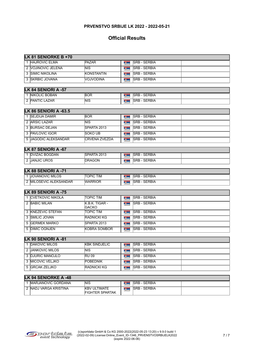| LK 81 SENIORKE B +70                   |                                               |                               |                     |  |  |  |
|----------------------------------------|-----------------------------------------------|-------------------------------|---------------------|--|--|--|
| 1 HAJROVIC ELMA                        | <b>PAZAR</b>                                  | <b>TAXABLE</b>                | <b>SRB - SERBIA</b> |  |  |  |
| 2 VOJINOVIC JELENA                     | NIS.                                          | <b>September</b>              | <b>SRB - SERBIA</b> |  |  |  |
| 3 SIMIC NIKOLINA                       | KONSTANTIN                                    | <b>Business</b>               | <b>SRB - SERBIA</b> |  |  |  |
| 3 SKRBIC JOVANA                        | <b>VOJVODINA</b>                              | <b>September</b>              | <b>SRB - SERBIA</b> |  |  |  |
| LK 84 SENIORI A -57                    |                                               |                               |                     |  |  |  |
| 1 NIKOLIC BOBAN                        | <b>BOR</b>                                    | <b>Taylor</b>                 | <b>SRB - SERBIA</b> |  |  |  |
| 2 PANTIC LAZAR                         | NIS.                                          | <b>Taylor</b>                 | <b>SRB - SERBIA</b> |  |  |  |
|                                        |                                               |                               |                     |  |  |  |
| LK 86 SENIORI A -63.5                  |                                               |                               |                     |  |  |  |
| 1 SEJDIJA DAMIR                        | <b>BOR</b>                                    | 2.1                           | <b>SRB - SERBIA</b> |  |  |  |
| 2 ARSIC LAZAR                          | <b>NIS</b>                                    | <b>September</b>              | <b>SRB - SERBIA</b> |  |  |  |
| 3 BURSAC DEJAN                         | SPARTA 2013                                   | <b>Taylor</b>                 | <b>SRB - SERBIA</b> |  |  |  |
| 3 PAVLOVIC IGOR                        | <b>SOKO UB</b>                                | <b>Taylor</b>                 | <b>SRB - SERBIA</b> |  |  |  |
| 5 JAGODIC ALEKSANDAR                   | <b>CRVENA ZVEZDA</b>                          | <b>Taylor</b>                 | <b>SRB - SERBIA</b> |  |  |  |
|                                        |                                               |                               |                     |  |  |  |
| LK 87 SENIORI A -67<br>1 DVIZAC BOGDAN | SPARTA 2013                                   |                               | <b>SRB - SERBIA</b> |  |  |  |
| 2 JANJIC UROS                          | <b>IDRAGON</b>                                | <b>Taylor</b>                 | <b>SRB - SERBIA</b> |  |  |  |
|                                        |                                               | <b>Tarton</b>                 |                     |  |  |  |
| LK 88 SENIORI A -71                    |                                               |                               |                     |  |  |  |
| 1 JOVANOVIC MILOS                      | TOPIC TIM                                     | <b>Taylor</b>                 | <b>SRB - SERBIA</b> |  |  |  |
| 2 MILOSEVIC ALEKSANDAR                 | <b>WARRIOR</b>                                | <b>Section</b>                | <b>SRB - SERBIA</b> |  |  |  |
| LK 89 SENIORI A -75                    |                                               |                               |                     |  |  |  |
| 1 CVETKOVIC NIKOLA                     | TOPIC TIM                                     | <b>Target</b>                 | <b>SRB - SERBIA</b> |  |  |  |
| 2 BABIC MILAN                          | K.B.K. TIGAR -                                | <b>September</b>              | <b>SRB - SERBIA</b> |  |  |  |
|                                        | GACKO                                         |                               |                     |  |  |  |
| 3 KNEZEVIC STEFAN                      | <b>TOPIC TIM</b>                              | 2.1                           | <b>SRB - SERBIA</b> |  |  |  |
| 3 SMILIC JOVAN                         | RADNICKI KG                                   | $\mathbf{z}$ and $\mathbf{z}$ | <b>SRB - SERBIA</b> |  |  |  |
| 5 GERMEK MARKO                         | SPARTA 2013                                   | $\mathbf{z}$ and $\mathbf{z}$ | <b>SRB - SERBIA</b> |  |  |  |
| 5 DIMIC OGNJEN                         | <b>KOBRA SOMBOR</b>                           | <b>Talling</b>                | <b>SRB - SERBIA</b> |  |  |  |
| LK 90 SENIORI A -81                    |                                               |                               |                     |  |  |  |
| 1 DAKOVIC MILOS                        | <b>KBK SINDJELIC</b>                          | <b>SUPPORT</b>                | <b>SRB - SERBIA</b> |  |  |  |
| 2 JANKOVIC MILOS                       | <b>NIS</b>                                    | <b>September</b>              | <b>SRB - SERBIA</b> |  |  |  |
| 3 DJURIC MANOJLO                       | RU09                                          | $\mathbf{z}$ and $\mathbf{z}$ | <b>SRB - SERBIA</b> |  |  |  |
| 3 MICOVIC VELJKO                       | <b>POBEDNIK</b>                               | $\mathbf{z}$ , then           | <b>SRB - SERBIA</b> |  |  |  |
| 5 GRCAK ZELJKO                         | <b>RADNICKI KG</b>                            | <b>Taylor</b>                 | <b>SRB - SERBIA</b> |  |  |  |
|                                        |                                               |                               |                     |  |  |  |
| LK 94 SENIORKE A -48                   |                                               |                               |                     |  |  |  |
| 1 MARJANOVIC GORDANA                   | <b>NIS</b>                                    | <b>Targette</b>               | <b>SRB - SERBIA</b> |  |  |  |
| 2 NADJ VARGA KRISTINA                  | <b>KBV ULTIMATE</b><br><b>FIGHTER SPARTAK</b> | <b>September</b>              | <b>SRB - SERBIA</b> |  |  |  |

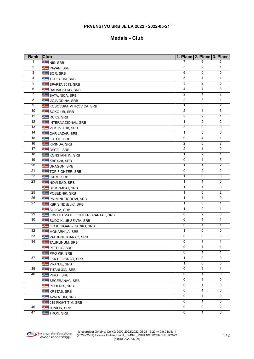#### **Medals - Club**

| Rank            | <b>Club</b>                       |                | 1. Place 2. Place 3. Place |                |
|-----------------|-----------------------------------|----------------|----------------------------|----------------|
| 1               | NIS, SRB                          | 7              | 6                          | 2              |
| 2               | <b>FAZAR, SRB</b>                 | 5              | 2                          | 1              |
| 3               | <b>BOR, SRB</b>                   | 6              | 0                          | 0              |
| 4               | <b>TOPIC TIM, SRB</b>             | 5              | $\mathbf{1}$               | $\mathbf{1}$   |
| 5               | SPARTA 2013, SRB                  | 3              | 2                          | 5              |
| 6               | RADNICKI KG, SRB                  | 4              | $\mathbf{1}$               | 3              |
| 7               | BATAJNICA, SRB                    | 2              | 4                          | $\overline{2}$ |
| $\overline{8}$  | VOJVODINA, SRB                    | $\overline{2}$ | $\overline{3}$             | $\overline{1}$ |
| $\overline{9}$  | KOSOVSKA MITROVICA, SRB           | 1              | $\overline{3}$             | $\overline{2}$ |
| 10              | SOKO UB, SRB                      | $\overline{2}$ | $\mathbf{1}$               | $\overline{3}$ |
| 11              | RU 09, SRB                        | $\overline{2}$ | $\overline{2}$             | $\mathbf{1}$   |
| 12              | INTERNACIONAL, SRB                | 1              | $\overline{2}$             | $\overline{2}$ |
| 13              | VUKOVI 018, SRB                   | 3              | $\mathbf 0$                | $\overline{0}$ |
| 14              |                                   | 1              | 3                          | 0              |
| 15              | <b>CAR LAZAR, SRB</b>             | 0              | $\overline{4}$             | $\mathbf 1$    |
| 16              | <b>FUTOG, SRB</b>                 | 2              | 0                          | $\overline{2}$ |
| 17              | KIKINDA, SRB                      | 2              | 1                          | 0              |
| 18              | BECEJ, SRB                        | 1              | $\overline{2}$             | 1              |
| $\overline{19}$ | KONSTANTIN, SRB                   | 0              | $\mathbf{1}$               | $\overline{5}$ |
| 20              | KBS 028, SRB                      | 1              | $\mathbf{1}$               | 2              |
| $\overline{21}$ | <b>DRAGON, SRB</b>                |                | 2                          | $\overline{2}$ |
|                 | TOP FIGHTER, SRB                  | 0              |                            |                |
| $\overline{22}$ | <b>GARD, SRB</b>                  | 1              | 0                          | 3              |
| $\overline{23}$ | NOVI SAD, SRB                     | 1              | $\mathbf{1}$               | $\overline{0}$ |
|                 | SD KOMBAT, SRB                    | 1              | $\mathbf{1}$               | 0              |
| 25              | <b>FOBEDNIK, SRB</b>              | $\mathbf{1}$   | 0                          | $\overline{2}$ |
| 26              | <b>FALMINI TIGROVI, SRB</b>       | 1              | $\mathbf{1}$               | $\overline{0}$ |
| 27              | KBK SINDJELIC, SRB                | $\mathbf{1}$   | $\mathbf 0$                | $\mathbf{1}$   |
|                 | SLOGA, SRB                        | 1              | $\overline{0}$             | $\mathbf 1$    |
| 29              | KBV ULTIMATE FIGHTER SPARTAK, SRB | 0              | $\overline{2}$             | 0              |
| 30              | <b>BUDO KLUB SENTA, SRB</b>       | 0              | $\mathbf{1}$               | 1              |
|                 | K.B.K. TIGAR - GACKO, SRB         | $\overline{0}$ | $\mathbf{1}$               | $\mathbf{1}$   |
| 32              | MONARHIJA, SRB                    | 1              | $\overline{0}$             | 0              |
| 33              | <b>LE VATRENI UDARAC, SRB</b>     | 0              | 0                          | 3              |
| $\overline{34}$ | TAURUNUM, SRB                     | 0              | $\mathbf{1}$               | $\mathbf{1}$   |
|                 | PETROS, SRB                       | 0              | 1                          | $\mathbf{1}$   |
|                 | <b>FRO KIK, SRB</b>               | 0              | $\mathbf{1}$               | 1              |
| 37              | <b>FINK BEOGRAD, SRB</b>          | 1              | 0                          | 0              |
|                 | VRANJE, SRB                       | 1              | $\overline{0}$             | 0              |
| 39              | TITANI 333, SRB                   | 0              | 1                          | 1              |
| 40              | <b>PIROT, SRB</b>                 | 0              | 1                          | 0              |
|                 | SECERANAC, SRB                    | 0              | 1                          | 0              |
|                 | PHOENIX, SRB                      | $\overline{0}$ | $\mathbf{1}$               | $\overline{0}$ |
|                 | KRSTAS, SRB                       | 0              | 1                          | 0              |
|                 | AVALA TIM, SRB                    | 0              | 1                          | 0              |
|                 | <b>DE 019 FIGHT TIM, SRB</b>      | 0              | $\mathbf{1}$               | 0              |
| 46              | JUNIOR, SRB                       | $\overline{0}$ | 0                          | $\overline{2}$ |
| 47              | <b>THE TRON, SRB</b>              | 0              | $\mathbf{1}$               | $\overline{0}$ |
|                 |                                   |                |                            |                |